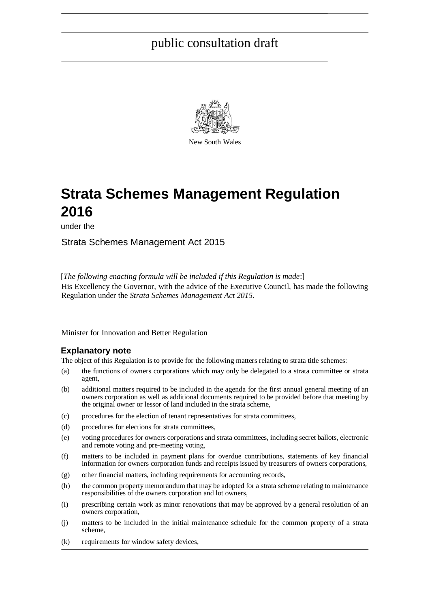

New South Wales

# **Strata Schemes Management Regulation 2016**

under the

Strata Schemes Management Act 2015

[*The following enacting formula will be included if this Regulation is made*:] His Excellency the Governor, with the advice of the Executive Council, has made the following Regulation under the *Strata Schemes Management Act 2015*.

Minister for Innovation and Better Regulation

#### **Explanatory note**

The object of this Regulation is to provide for the following matters relating to strata title schemes:

- (a) the functions of owners corporations which may only be delegated to a strata committee or strata agent,
- (b) additional matters required to be included in the agenda for the first annual general meeting of an owners corporation as well as additional documents required to be provided before that meeting by the original owner or lessor of land included in the strata scheme,
- (c) procedures for the election of tenant representatives for strata committees,
- (d) procedures for elections for strata committees,
- (e) voting procedures for owners corporations and strata committees, including secret ballots, electronic and remote voting and pre-meeting voting,
- (f) matters to be included in payment plans for overdue contributions, statements of key financial information for owners corporation funds and receipts issued by treasurers of owners corporations,
- (g) other financial matters, including requirements for accounting records,
- (h) the common property memorandum that may be adopted for a strata scheme relating to maintenance responsibilities of the owners corporation and lot owners,
- (i) prescribing certain work as minor renovations that may be approved by a general resolution of an owners corporation,
- (j) matters to be included in the initial maintenance schedule for the common property of a strata scheme,
- (k) requirements for window safety devices,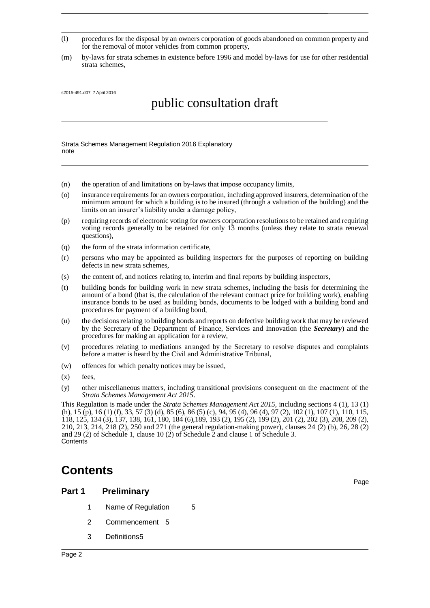- (l) procedures for the disposal by an owners corporation of goods abandoned on common property and for the removal of motor vehicles from common property,
- (m) by-laws for strata schemes in existence before 1996 and model by-laws for use for other residential strata schemes,

s2015-491.d07 7 April 2016

# public consultation draft

Strata Schemes Management Regulation 2016 Explanatory note

- (n) the operation of and limitations on by-laws that impose occupancy limits,
- (o) insurance requirements for an owners corporation, including approved insurers, determination of the minimum amount for which a building is to be insured (through a valuation of the building) and the limits on an insurer's liability under a damage policy,
- (p) requiring records of electronic voting for owners corporation resolutions to be retained and requiring voting records generally to be retained for only 13 months (unless they relate to strata renewal questions),
- (q) the form of the strata information certificate,
- (r) persons who may be appointed as building inspectors for the purposes of reporting on building defects in new strata schemes,
- (s) the content of, and notices relating to, interim and final reports by building inspectors,
- (t) building bonds for building work in new strata schemes, including the basis for determining the amount of a bond (that is, the calculation of the relevant contract price for building work), enabling insurance bonds to be used as building bonds, documents to be lodged with a building bond and procedures for payment of a building bond,
- (u) the decisions relating to building bonds and reports on defective building work that may be reviewed by the Secretary of the Department of Finance, Services and Innovation (the *Secretary*) and the procedures for making an application for a review,
- (v) procedures relating to mediations arranged by the Secretary to resolve disputes and complaints before a matter is heard by the Civil and Administrative Tribunal,
- (w) offences for which penalty notices may be issued,
- (x) fees,
- (y) other miscellaneous matters, including transitional provisions consequent on the enactment of the *Strata Schemes Management Act 2015*.

This Regulation is made under the *Strata Schemes Management Act 2015*, including sections 4 (1), 13 (1) (h), 15 (p), 16 (1) (f), 33, 57 (3) (d), 85 (6), 86 (5) (c), 94, 95 (4), 96 (4), 97 (2), 102 (1), 107 (1), 110, 115, 118, 125, 134 (3), 137, 138, 161, 180, 184 (6),189, 193 (2), 195 (2), 199 (2), 201 (2), 202 (3), 208, 209 (2), 210, 213, 214, 218 (2), 250 and 271 (the general regulation-making power), clauses 24 (2) (b), 26, 28 (2) and 29 (2) of Schedule 1, clause 10 (2) of Schedule 2 and clause 1 of Schedule 3. **Contents** 

## **Contents**

#### **Part 1 Preliminary**

- 1 Name of Regulation 5
- 2 Commencement 5
- 3 Definitions5

Page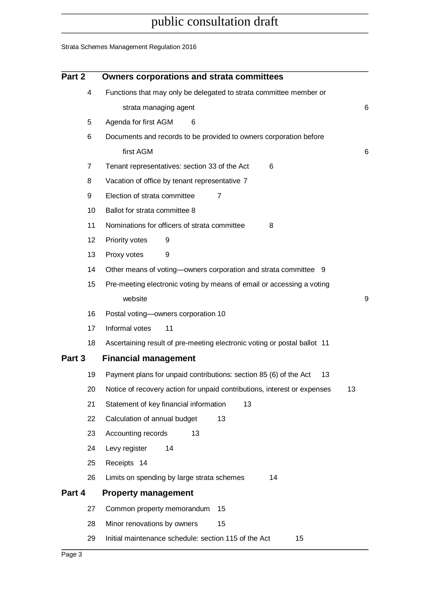## Strata Schemes Management Regulation 2016

| Part 2 | <b>Owners corporations and strata committees</b>                               |   |
|--------|--------------------------------------------------------------------------------|---|
| 4      | Functions that may only be delegated to strata committee member or             |   |
|        | strata managing agent                                                          | 6 |
| 5      | Agenda for first AGM<br>6                                                      |   |
| 6      | Documents and records to be provided to owners corporation before              |   |
|        | first AGM                                                                      | 6 |
| 7      | Tenant representatives: section 33 of the Act<br>6                             |   |
| 8      | Vacation of office by tenant representative 7                                  |   |
| 9      | Election of strata committee<br>7                                              |   |
| 10     | Ballot for strata committee 8                                                  |   |
| 11     | Nominations for officers of strata committee<br>8                              |   |
| 12     | Priority votes<br>9                                                            |   |
| 13     | Proxy votes<br>9                                                               |   |
| 14     | Other means of voting—owners corporation and strata committee 9                |   |
| 15     | Pre-meeting electronic voting by means of email or accessing a voting          |   |
|        | website                                                                        | 9 |
| 16     | Postal voting-owners corporation 10                                            |   |
| 17     | Informal votes<br>11                                                           |   |
| 18     | Ascertaining result of pre-meeting electronic voting or postal ballot 11       |   |
| Part 3 | <b>Financial management</b>                                                    |   |
| 19     | Payment plans for unpaid contributions: section 85 (6) of the Act<br>13        |   |
| 20     | Notice of recovery action for unpaid contributions, interest or expenses<br>13 |   |
| 21     | Statement of key financial information<br>13                                   |   |
| 22     | Calculation of annual budget<br>13                                             |   |
| 23     | 13<br>Accounting records                                                       |   |
| 24     | Levy register<br>14                                                            |   |
| 25     | Receipts 14                                                                    |   |
| 26     | Limits on spending by large strata schemes<br>14                               |   |
| Part 4 | <b>Property management</b>                                                     |   |
| 27     | Common property memorandum<br>15                                               |   |
| 28     | Minor renovations by owners<br>15                                              |   |
| 29     | Initial maintenance schedule: section 115 of the Act<br>15                     |   |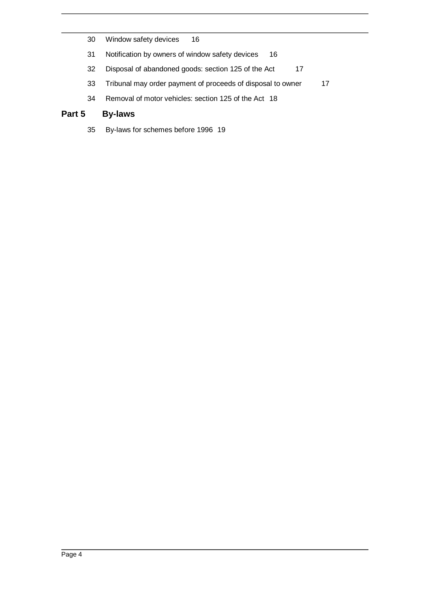- 30 Window safety devices 16
- 31 Notification by owners of window safety devices 16
- 32 Disposal of abandoned goods: section 125 of the Act 17
- 33 Tribunal may order payment of proceeds of disposal to owner 17
- 34 Removal of motor vehicles: section 125 of the Act 18

### **Part 5 By-laws**

35 By-laws for schemes before 1996 19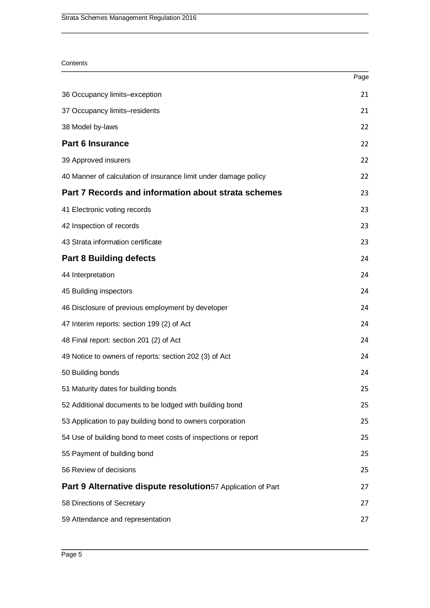#### **Contents**

|                                                                 | Page |
|-----------------------------------------------------------------|------|
| 36 Occupancy limits-exception                                   | 21   |
| 37 Occupancy limits-residents                                   | 21   |
| 38 Model by-laws                                                | 22   |
| <b>Part 6 Insurance</b>                                         | 22   |
| 39 Approved insurers                                            | 22   |
| 40 Manner of calculation of insurance limit under damage policy | 22   |
| Part 7 Records and information about strata schemes             | 23   |
| 41 Electronic voting records                                    | 23   |
| 42 Inspection of records                                        | 23   |
| 43 Strata information certificate                               | 23   |
| <b>Part 8 Building defects</b>                                  | 24   |
| 44 Interpretation                                               | 24   |
| 45 Building inspectors                                          | 24   |
| 46 Disclosure of previous employment by developer               | 24   |
| 47 Interim reports: section 199 (2) of Act                      | 24   |
| 48 Final report: section 201 (2) of Act                         | 24   |
| 49 Notice to owners of reports: section 202 (3) of Act          | 24   |
| 50 Building bonds                                               | 24   |
| 51 Maturity dates for building bonds                            | 25   |
| 52 Additional documents to be lodged with building bond         | 25   |
| 53 Application to pay building bond to owners corporation       | 25   |
| 54 Use of building bond to meet costs of inspections or report  | 25   |
| 55 Payment of building bond                                     | 25   |
| 56 Review of decisions                                          | 25   |
| Part 9 Alternative dispute resolution57 Application of Part     | 27   |
| 58 Directions of Secretary                                      | 27   |
| 59 Attendance and representation                                | 27   |
|                                                                 |      |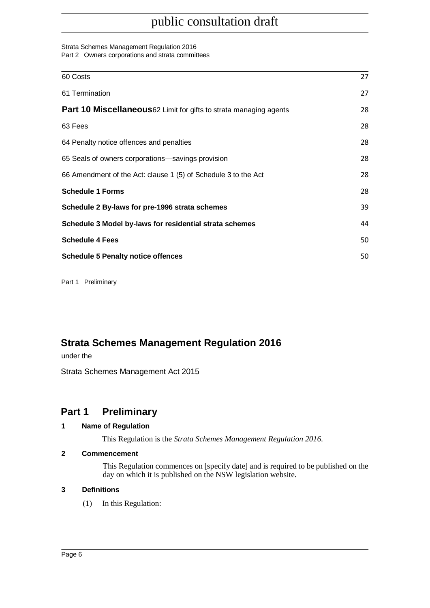#### Strata Schemes Management Regulation 2016

Part 2 Owners corporations and strata committees

| 60 Costs                                                                  | 27 |
|---------------------------------------------------------------------------|----|
| 61 Termination                                                            | 27 |
| <b>Part 10 Miscellaneous</b> 62 Limit for gifts to strata managing agents | 28 |
| 63 Fees                                                                   | 28 |
| 64 Penalty notice offences and penalties                                  | 28 |
| 65 Seals of owners corporations—savings provision                         | 28 |
| 66 Amendment of the Act: clause 1 (5) of Schedule 3 to the Act            | 28 |
| <b>Schedule 1 Forms</b>                                                   | 28 |
| Schedule 2 By-laws for pre-1996 strata schemes                            | 39 |
| Schedule 3 Model by-laws for residential strata schemes                   | 44 |
| <b>Schedule 4 Fees</b>                                                    | 50 |
| <b>Schedule 5 Penalty notice offences</b>                                 | 50 |
|                                                                           |    |

Part 1 Preliminary

## **Strata Schemes Management Regulation 2016**

under the

Strata Schemes Management Act 2015

## **Part 1 Preliminary**

### **1 Name of Regulation**

This Regulation is the *Strata Schemes Management Regulation 2016*.

### **2 Commencement**

This Regulation commences on [specify date] and is required to be published on the day on which it is published on the NSW legislation website.

### **3 Definitions**

(1) In this Regulation: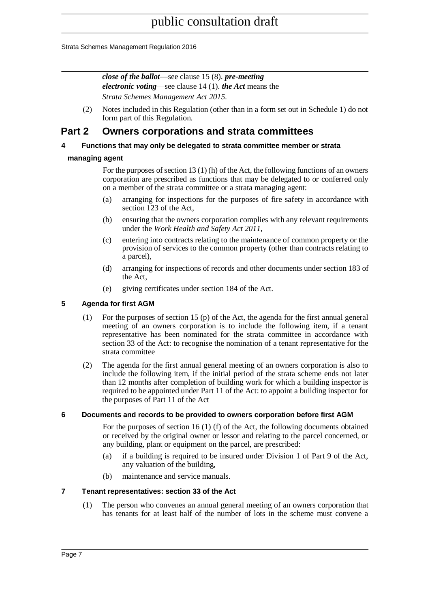Strata Schemes Management Regulation 2016

*close of the ballot*—see clause 15 (8). *pre-meeting electronic voting*—see clause 14 (1). *the Act* means the *Strata Schemes Management Act 2015*.

(2) Notes included in this Regulation (other than in a form set out in Schedule 1) do not form part of this Regulation.

## **Part 2 Owners corporations and strata committees**

#### **4 Functions that may only be delegated to strata committee member or strata**

#### **managing agent**

For the purposes of section 13 (1) (h) of the Act, the following functions of an owners corporation are prescribed as functions that may be delegated to or conferred only on a member of the strata committee or a strata managing agent:

- (a) arranging for inspections for the purposes of fire safety in accordance with section 123 of the Act,
- (b) ensuring that the owners corporation complies with any relevant requirements under the *Work Health and Safety Act 2011*,
- (c) entering into contracts relating to the maintenance of common property or the provision of services to the common property (other than contracts relating to a parcel),
- (d) arranging for inspections of records and other documents under section 183 of the Act,
- (e) giving certificates under section 184 of the Act.

#### **5 Agenda for first AGM**

- (1) For the purposes of section 15 (p) of the Act, the agenda for the first annual general meeting of an owners corporation is to include the following item, if a tenant representative has been nominated for the strata committee in accordance with section 33 of the Act: to recognise the nomination of a tenant representative for the strata committee
- (2) The agenda for the first annual general meeting of an owners corporation is also to include the following item, if the initial period of the strata scheme ends not later than 12 months after completion of building work for which a building inspector is required to be appointed under Part 11 of the Act: to appoint a building inspector for the purposes of Part 11 of the Act

#### **6 Documents and records to be provided to owners corporation before first AGM**

For the purposes of section 16 (1) (f) of the Act, the following documents obtained or received by the original owner or lessor and relating to the parcel concerned, or any building, plant or equipment on the parcel, are prescribed:

- (a) if a building is required to be insured under Division 1 of Part 9 of the Act, any valuation of the building,
- (b) maintenance and service manuals.

#### **7 Tenant representatives: section 33 of the Act**

(1) The person who convenes an annual general meeting of an owners corporation that has tenants for at least half of the number of lots in the scheme must convene a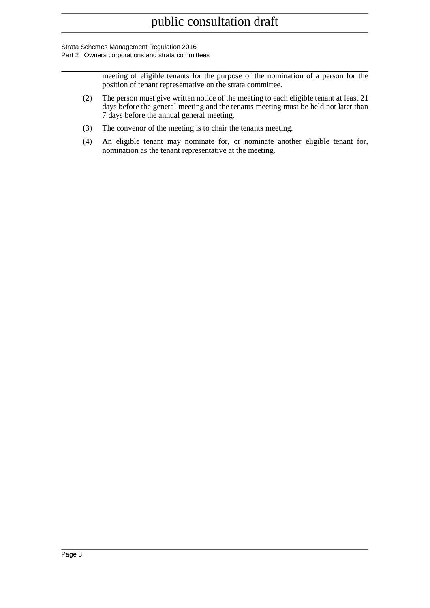#### Strata Schemes Management Regulation 2016

Part 2 Owners corporations and strata committees

meeting of eligible tenants for the purpose of the nomination of a person for the position of tenant representative on the strata committee.

- (2) The person must give written notice of the meeting to each eligible tenant at least 21 days before the general meeting and the tenants meeting must be held not later than 7 days before the annual general meeting.
- (3) The convenor of the meeting is to chair the tenants meeting.
- (4) An eligible tenant may nominate for, or nominate another eligible tenant for, nomination as the tenant representative at the meeting.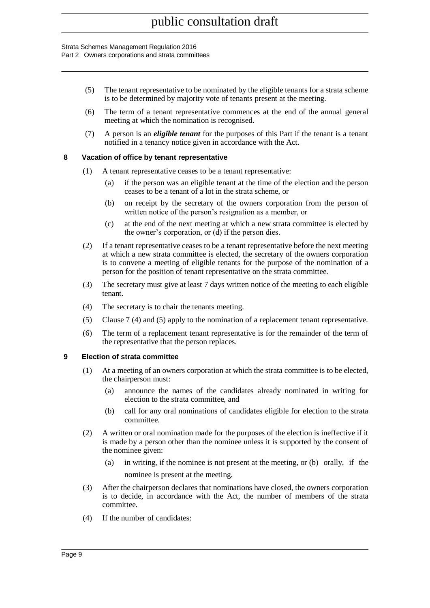#### Strata Schemes Management Regulation 2016

Part 2 Owners corporations and strata committees

- (5) The tenant representative to be nominated by the eligible tenants for a strata scheme is to be determined by majority vote of tenants present at the meeting.
- (6) The term of a tenant representative commences at the end of the annual general meeting at which the nomination is recognised.
- (7) A person is an *eligible tenant* for the purposes of this Part if the tenant is a tenant notified in a tenancy notice given in accordance with the Act.

#### **8 Vacation of office by tenant representative**

- (1) A tenant representative ceases to be a tenant representative:
	- (a) if the person was an eligible tenant at the time of the election and the person ceases to be a tenant of a lot in the strata scheme, or
	- (b) on receipt by the secretary of the owners corporation from the person of written notice of the person's resignation as a member, or
	- (c) at the end of the next meeting at which a new strata committee is elected by the owner's corporation, or (d) if the person dies.
- (2) If a tenant representative ceases to be a tenant representative before the next meeting at which a new strata committee is elected, the secretary of the owners corporation is to convene a meeting of eligible tenants for the purpose of the nomination of a person for the position of tenant representative on the strata committee.
- (3) The secretary must give at least 7 days written notice of the meeting to each eligible tenant.
- (4) The secretary is to chair the tenants meeting.
- (5) Clause 7 (4) and (5) apply to the nomination of a replacement tenant representative.
- (6) The term of a replacement tenant representative is for the remainder of the term of the representative that the person replaces.

#### **9 Election of strata committee**

- (1) At a meeting of an owners corporation at which the strata committee is to be elected, the chairperson must:
	- (a) announce the names of the candidates already nominated in writing for election to the strata committee, and
	- (b) call for any oral nominations of candidates eligible for election to the strata committee.
- (2) A written or oral nomination made for the purposes of the election is ineffective if it is made by a person other than the nominee unless it is supported by the consent of the nominee given:
	- (a) in writing, if the nominee is not present at the meeting, or (b) orally, if the nominee is present at the meeting.
- (3) After the chairperson declares that nominations have closed, the owners corporation is to decide, in accordance with the Act, the number of members of the strata committee.
- (4) If the number of candidates: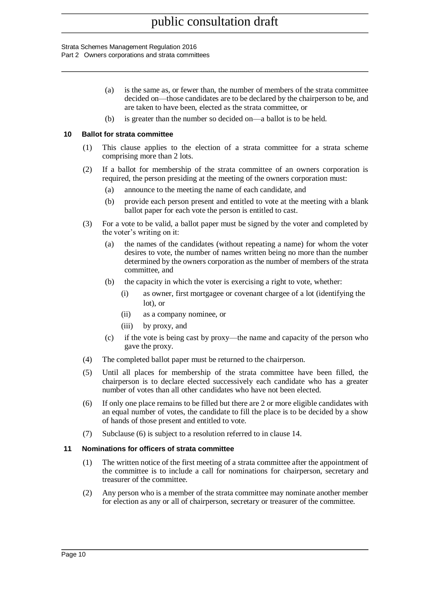#### Strata Schemes Management Regulation 2016

Part 2 Owners corporations and strata committees

- (a) is the same as, or fewer than, the number of members of the strata committee decided on—those candidates are to be declared by the chairperson to be, and are taken to have been, elected as the strata committee, or
- (b) is greater than the number so decided on—a ballot is to be held.

#### **10 Ballot for strata committee**

- (1) This clause applies to the election of a strata committee for a strata scheme comprising more than 2 lots.
- (2) If a ballot for membership of the strata committee of an owners corporation is required, the person presiding at the meeting of the owners corporation must:
	- (a) announce to the meeting the name of each candidate, and
	- (b) provide each person present and entitled to vote at the meeting with a blank ballot paper for each vote the person is entitled to cast.
- (3) For a vote to be valid, a ballot paper must be signed by the voter and completed by the voter's writing on it:
	- (a) the names of the candidates (without repeating a name) for whom the voter desires to vote, the number of names written being no more than the number determined by the owners corporation as the number of members of the strata committee, and
	- (b) the capacity in which the voter is exercising a right to vote, whether:
		- (i) as owner, first mortgagee or covenant chargee of a lot (identifying the lot), or
		- (ii) as a company nominee, or
		- (iii) by proxy, and
	- (c) if the vote is being cast by proxy—the name and capacity of the person who gave the proxy.
- (4) The completed ballot paper must be returned to the chairperson.
- (5) Until all places for membership of the strata committee have been filled, the chairperson is to declare elected successively each candidate who has a greater number of votes than all other candidates who have not been elected.
- (6) If only one place remains to be filled but there are 2 or more eligible candidates with an equal number of votes, the candidate to fill the place is to be decided by a show of hands of those present and entitled to vote.
- (7) Subclause (6) is subject to a resolution referred to in clause 14.

#### **11 Nominations for officers of strata committee**

- (1) The written notice of the first meeting of a strata committee after the appointment of the committee is to include a call for nominations for chairperson, secretary and treasurer of the committee.
- (2) Any person who is a member of the strata committee may nominate another member for election as any or all of chairperson, secretary or treasurer of the committee.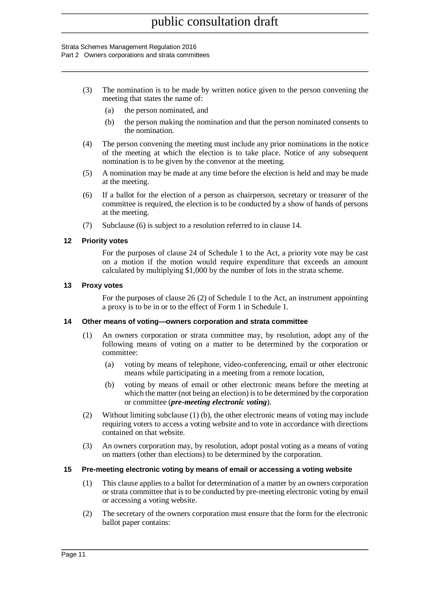#### Strata Schemes Management Regulation 2016

Part 2 Owners corporations and strata committees

- (3) The nomination is to be made by written notice given to the person convening the meeting that states the name of:
	- (a) the person nominated, and
	- (b) the person making the nomination and that the person nominated consents to the nomination.
- (4) The person convening the meeting must include any prior nominations in the notice of the meeting at which the election is to take place. Notice of any subsequent nomination is to be given by the convenor at the meeting.
- (5) A nomination may be made at any time before the election is held and may be made at the meeting.
- (6) If a ballot for the election of a person as chairperson, secretary or treasurer of the committee is required, the election is to be conducted by a show of hands of persons at the meeting.
- (7) Subclause (6) is subject to a resolution referred to in clause 14.

#### **12 Priority votes**

For the purposes of clause 24 of Schedule 1 to the Act, a priority vote may be cast on a motion if the motion would require expenditure that exceeds an amount calculated by multiplying \$1,000 by the number of lots in the strata scheme.

#### **13 Proxy votes**

For the purposes of clause 26 (2) of Schedule 1 to the Act, an instrument appointing a proxy is to be in or to the effect of Form 1 in Schedule 1.

#### **14 Other means of voting—owners corporation and strata committee**

- (1) An owners corporation or strata committee may, by resolution, adopt any of the following means of voting on a matter to be determined by the corporation or committee:
	- (a) voting by means of telephone, video-conferencing, email or other electronic means while participating in a meeting from a remote location,
	- (b) voting by means of email or other electronic means before the meeting at which the matter (not being an election) is to be determined by the corporation or committee (*pre-meeting electronic voting*).
- (2) Without limiting subclause (1) (b), the other electronic means of voting may include requiring voters to access a voting website and to vote in accordance with directions contained on that website.
- (3) An owners corporation may, by resolution, adopt postal voting as a means of voting on matters (other than elections) to be determined by the corporation.

#### **15 Pre-meeting electronic voting by means of email or accessing a voting website**

- (1) This clause applies to a ballot for determination of a matter by an owners corporation or strata committee that is to be conducted by pre-meeting electronic voting by email or accessing a voting website.
- (2) The secretary of the owners corporation must ensure that the form for the electronic ballot paper contains: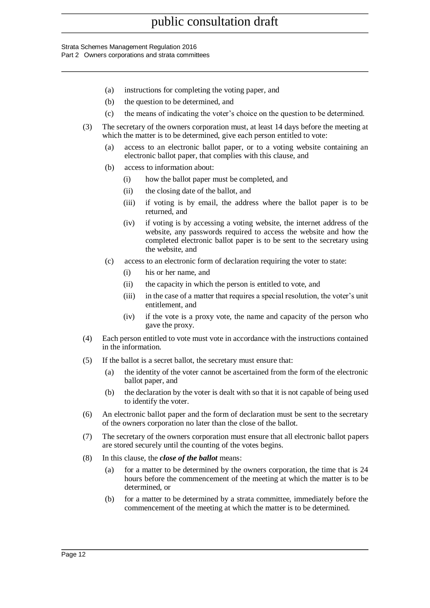#### Strata Schemes Management Regulation 2016

Part 2 Owners corporations and strata committees

- (a) instructions for completing the voting paper, and
- (b) the question to be determined, and
- (c) the means of indicating the voter's choice on the question to be determined.
- (3) The secretary of the owners corporation must, at least 14 days before the meeting at which the matter is to be determined, give each person entitled to vote:
	- (a) access to an electronic ballot paper, or to a voting website containing an electronic ballot paper, that complies with this clause, and
	- (b) access to information about:
		- (i) how the ballot paper must be completed, and
		- (ii) the closing date of the ballot, and
		- (iii) if voting is by email, the address where the ballot paper is to be returned, and
		- (iv) if voting is by accessing a voting website, the internet address of the website, any passwords required to access the website and how the completed electronic ballot paper is to be sent to the secretary using the website, and
	- (c) access to an electronic form of declaration requiring the voter to state:
		- (i) his or her name, and
		- (ii) the capacity in which the person is entitled to vote, and
		- (iii) in the case of a matter that requires a special resolution, the voter's unit entitlement, and
		- (iv) if the vote is a proxy vote, the name and capacity of the person who gave the proxy.
- (4) Each person entitled to vote must vote in accordance with the instructions contained in the information.
- (5) If the ballot is a secret ballot, the secretary must ensure that:
	- (a) the identity of the voter cannot be ascertained from the form of the electronic ballot paper, and
	- (b) the declaration by the voter is dealt with so that it is not capable of being used to identify the voter.
- (6) An electronic ballot paper and the form of declaration must be sent to the secretary of the owners corporation no later than the close of the ballot.
- (7) The secretary of the owners corporation must ensure that all electronic ballot papers are stored securely until the counting of the votes begins.
- (8) In this clause, the *close of the ballot* means:
	- (a) for a matter to be determined by the owners corporation, the time that is 24 hours before the commencement of the meeting at which the matter is to be determined, or
	- (b) for a matter to be determined by a strata committee, immediately before the commencement of the meeting at which the matter is to be determined.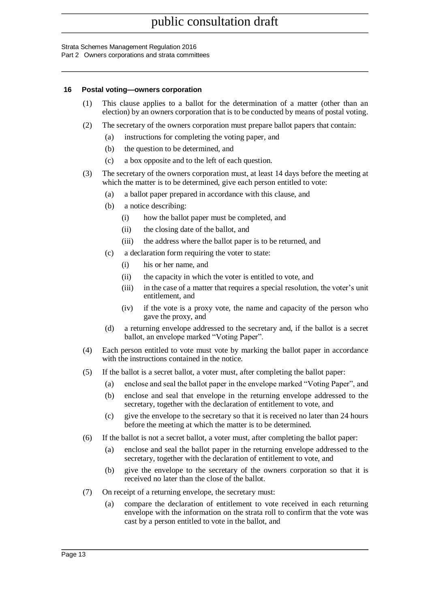#### Strata Schemes Management Regulation 2016

Part 2 Owners corporations and strata committees

#### **16 Postal voting—owners corporation**

- (1) This clause applies to a ballot for the determination of a matter (other than an election) by an owners corporation that is to be conducted by means of postal voting.
- (2) The secretary of the owners corporation must prepare ballot papers that contain:
	- (a) instructions for completing the voting paper, and
		- (b) the question to be determined, and
		- (c) a box opposite and to the left of each question.
- (3) The secretary of the owners corporation must, at least 14 days before the meeting at which the matter is to be determined, give each person entitled to vote:
	- (a) a ballot paper prepared in accordance with this clause, and
	- (b) a notice describing:
		- (i) how the ballot paper must be completed, and
		- (ii) the closing date of the ballot, and
		- (iii) the address where the ballot paper is to be returned, and
	- (c) a declaration form requiring the voter to state:
		- (i) his or her name, and
		- (ii) the capacity in which the voter is entitled to vote, and
		- (iii) in the case of a matter that requires a special resolution, the voter's unit entitlement, and
		- (iv) if the vote is a proxy vote, the name and capacity of the person who gave the proxy, and
	- (d) a returning envelope addressed to the secretary and, if the ballot is a secret ballot, an envelope marked "Voting Paper".
- (4) Each person entitled to vote must vote by marking the ballot paper in accordance with the instructions contained in the notice.
- (5) If the ballot is a secret ballot, a voter must, after completing the ballot paper:
	- (a) enclose and seal the ballot paper in the envelope marked "Voting Paper", and
	- (b) enclose and seal that envelope in the returning envelope addressed to the secretary, together with the declaration of entitlement to vote, and
	- (c) give the envelope to the secretary so that it is received no later than 24 hours before the meeting at which the matter is to be determined.
- (6) If the ballot is not a secret ballot, a voter must, after completing the ballot paper:
	- (a) enclose and seal the ballot paper in the returning envelope addressed to the secretary, together with the declaration of entitlement to vote, and
	- (b) give the envelope to the secretary of the owners corporation so that it is received no later than the close of the ballot.
- (7) On receipt of a returning envelope, the secretary must:
	- (a) compare the declaration of entitlement to vote received in each returning envelope with the information on the strata roll to confirm that the vote was cast by a person entitled to vote in the ballot, and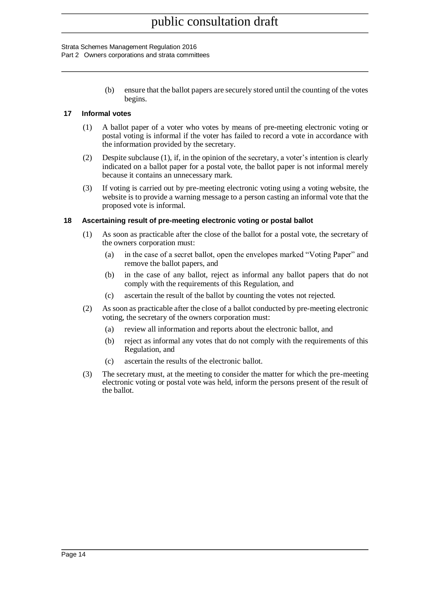#### Strata Schemes Management Regulation 2016

Part 2 Owners corporations and strata committees

(b) ensure that the ballot papers are securely stored until the counting of the votes begins.

#### **17 Informal votes**

- (1) A ballot paper of a voter who votes by means of pre-meeting electronic voting or postal voting is informal if the voter has failed to record a vote in accordance with the information provided by the secretary.
- (2) Despite subclause (1), if, in the opinion of the secretary, a voter's intention is clearly indicated on a ballot paper for a postal vote, the ballot paper is not informal merely because it contains an unnecessary mark.
- (3) If voting is carried out by pre-meeting electronic voting using a voting website, the website is to provide a warning message to a person casting an informal vote that the proposed vote is informal.

#### **18 Ascertaining result of pre-meeting electronic voting or postal ballot**

- (1) As soon as practicable after the close of the ballot for a postal vote, the secretary of the owners corporation must:
	- (a) in the case of a secret ballot, open the envelopes marked "Voting Paper" and remove the ballot papers, and
	- (b) in the case of any ballot, reject as informal any ballot papers that do not comply with the requirements of this Regulation, and
	- (c) ascertain the result of the ballot by counting the votes not rejected.
- (2) As soon as practicable after the close of a ballot conducted by pre-meeting electronic voting, the secretary of the owners corporation must:
	- (a) review all information and reports about the electronic ballot, and
	- (b) reject as informal any votes that do not comply with the requirements of this Regulation, and
	- (c) ascertain the results of the electronic ballot.
- (3) The secretary must, at the meeting to consider the matter for which the pre-meeting electronic voting or postal vote was held, inform the persons present of the result of the ballot.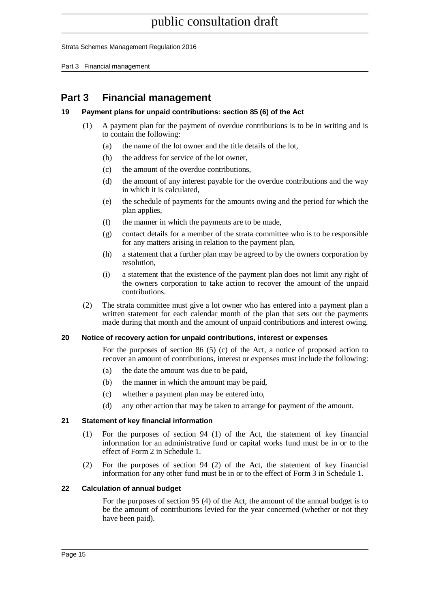Strata Schemes Management Regulation 2016

Part 3 Financial management

## **Part 3 Financial management**

#### **19 Payment plans for unpaid contributions: section 85 (6) of the Act**

- (1) A payment plan for the payment of overdue contributions is to be in writing and is to contain the following:
	- (a) the name of the lot owner and the title details of the lot,
	- (b) the address for service of the lot owner,
	- (c) the amount of the overdue contributions,
	- (d) the amount of any interest payable for the overdue contributions and the way in which it is calculated,
	- (e) the schedule of payments for the amounts owing and the period for which the plan applies,
	- (f) the manner in which the payments are to be made,
	- (g) contact details for a member of the strata committee who is to be responsible for any matters arising in relation to the payment plan,
	- (h) a statement that a further plan may be agreed to by the owners corporation by resolution,
	- (i) a statement that the existence of the payment plan does not limit any right of the owners corporation to take action to recover the amount of the unpaid contributions.
- (2) The strata committee must give a lot owner who has entered into a payment plan a written statement for each calendar month of the plan that sets out the payments made during that month and the amount of unpaid contributions and interest owing.

#### **20 Notice of recovery action for unpaid contributions, interest or expenses**

For the purposes of section 86 (5) (c) of the Act, a notice of proposed action to recover an amount of contributions, interest or expenses must include the following:

- (a) the date the amount was due to be paid,
- (b) the manner in which the amount may be paid,
- (c) whether a payment plan may be entered into,
- (d) any other action that may be taken to arrange for payment of the amount.

#### **21 Statement of key financial information**

- (1) For the purposes of section 94 (1) of the Act, the statement of key financial information for an administrative fund or capital works fund must be in or to the effect of Form 2 in Schedule 1.
- (2) For the purposes of section 94 (2) of the Act, the statement of key financial information for any other fund must be in or to the effect of Form 3 in Schedule 1.

#### **22 Calculation of annual budget**

For the purposes of section 95 (4) of the Act, the amount of the annual budget is to be the amount of contributions levied for the year concerned (whether or not they have been paid).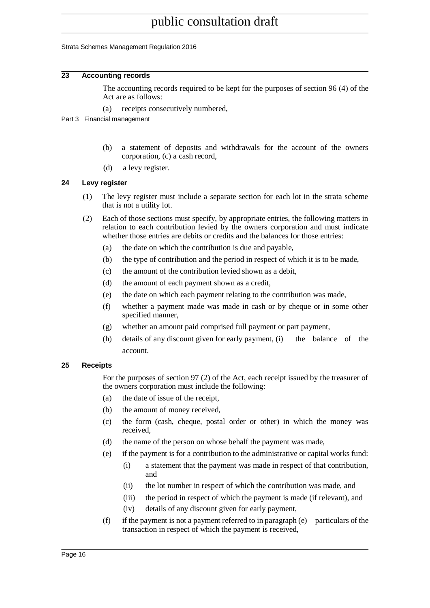#### Strata Schemes Management Regulation 2016

#### **23 Accounting records**

The accounting records required to be kept for the purposes of section 96 (4) of the Act are as follows:

- (a) receipts consecutively numbered,
- Part 3 Financial management
	- (b) a statement of deposits and withdrawals for the account of the owners corporation, (c) a cash record,
	- (d) a levy register.

#### **24 Levy register**

- (1) The levy register must include a separate section for each lot in the strata scheme that is not a utility lot.
- (2) Each of those sections must specify, by appropriate entries, the following matters in relation to each contribution levied by the owners corporation and must indicate whether those entries are debits or credits and the balances for those entries:
	- (a) the date on which the contribution is due and payable,
	- (b) the type of contribution and the period in respect of which it is to be made,
	- (c) the amount of the contribution levied shown as a debit,
	- (d) the amount of each payment shown as a credit,
	- (e) the date on which each payment relating to the contribution was made,
	- (f) whether a payment made was made in cash or by cheque or in some other specified manner,
	- (g) whether an amount paid comprised full payment or part payment,
	- (h) details of any discount given for early payment, (i) the balance of the account.

#### **25 Receipts**

For the purposes of section 97 (2) of the Act, each receipt issued by the treasurer of the owners corporation must include the following:

- (a) the date of issue of the receipt,
- (b) the amount of money received,
- (c) the form (cash, cheque, postal order or other) in which the money was received,
- (d) the name of the person on whose behalf the payment was made,
- (e) if the payment is for a contribution to the administrative or capital works fund:
	- (i) a statement that the payment was made in respect of that contribution, and
	- (ii) the lot number in respect of which the contribution was made, and
	- (iii) the period in respect of which the payment is made (if relevant), and
	- (iv) details of any discount given for early payment,
- (f) if the payment is not a payment referred to in paragraph (e)—particulars of the transaction in respect of which the payment is received,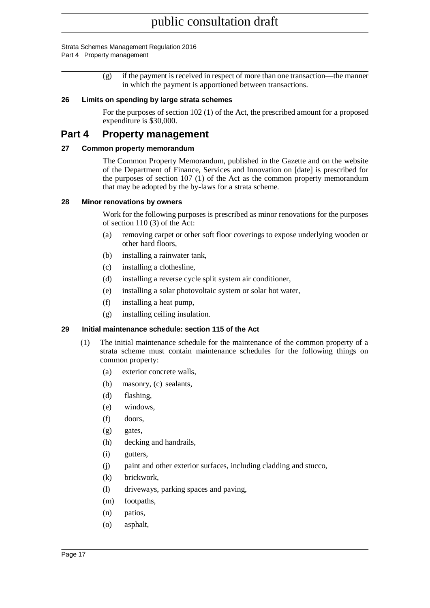#### Strata Schemes Management Regulation 2016 Part 4 Property management

(g) if the payment is received in respect of more than one transaction—the manner in which the payment is apportioned between transactions.

#### **26 Limits on spending by large strata schemes**

For the purposes of section 102 (1) of the Act, the prescribed amount for a proposed expenditure is \$30,000.

## **Part 4 Property management**

#### **27 Common property memorandum**

The Common Property Memorandum, published in the Gazette and on the website of the Department of Finance, Services and Innovation on [date] is prescribed for the purposes of section 107 (1) of the Act as the common property memorandum that may be adopted by the by-laws for a strata scheme.

#### **28 Minor renovations by owners**

Work for the following purposes is prescribed as minor renovations for the purposes of section 110 (3) of the Act:

- (a) removing carpet or other soft floor coverings to expose underlying wooden or other hard floors,
- (b) installing a rainwater tank,
- (c) installing a clothesline,
- (d) installing a reverse cycle split system air conditioner,
- (e) installing a solar photovoltaic system or solar hot water,
- (f) installing a heat pump,
- (g) installing ceiling insulation.

#### **29 Initial maintenance schedule: section 115 of the Act**

- (1) The initial maintenance schedule for the maintenance of the common property of a strata scheme must contain maintenance schedules for the following things on common property:
	- (a) exterior concrete walls,
	- (b) masonry, (c) sealants,
	- (d) flashing,
	- (e) windows,
	- (f) doors,
	- (g) gates,
	- (h) decking and handrails,
	- (i) gutters,
	- (j) paint and other exterior surfaces, including cladding and stucco,
	- (k) brickwork,
	- (l) driveways, parking spaces and paving,
	- (m) footpaths,
	- (n) patios,
	- (o) asphalt,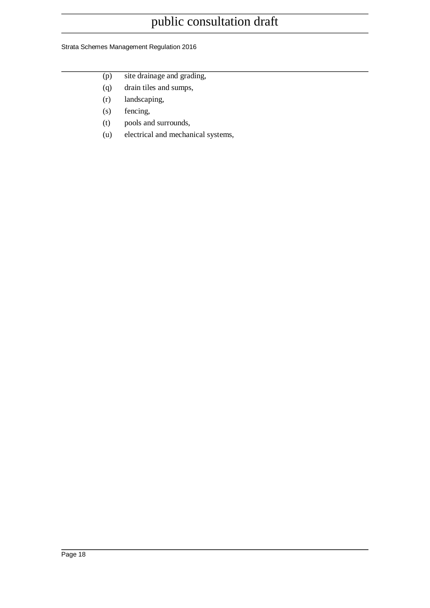#### Strata Schemes Management Regulation 2016

- (p) site drainage and grading,
- (q) drain tiles and sumps,
- (r) landscaping,
- (s) fencing,
- (t) pools and surrounds,
- (u) electrical and mechanical systems,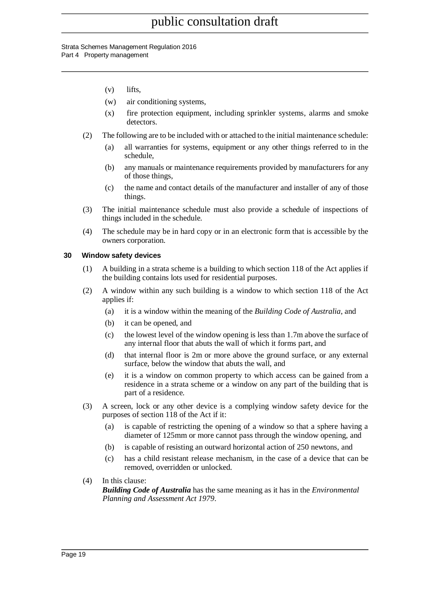#### Strata Schemes Management Regulation 2016 Part 4 Property management

- (v) lifts,
- (w) air conditioning systems,
- (x) fire protection equipment, including sprinkler systems, alarms and smoke detectors.
- (2) The following are to be included with or attached to the initial maintenance schedule:
	- (a) all warranties for systems, equipment or any other things referred to in the schedule,
	- (b) any manuals or maintenance requirements provided by manufacturers for any of those things,
	- (c) the name and contact details of the manufacturer and installer of any of those things.
- (3) The initial maintenance schedule must also provide a schedule of inspections of things included in the schedule.
- (4) The schedule may be in hard copy or in an electronic form that is accessible by the owners corporation.

#### **30 Window safety devices**

- (1) A building in a strata scheme is a building to which section 118 of the Act applies if the building contains lots used for residential purposes.
- (2) A window within any such building is a window to which section 118 of the Act applies if:
	- (a) it is a window within the meaning of the *Building Code of Australia*, and
	- (b) it can be opened, and
	- (c) the lowest level of the window opening is less than 1.7m above the surface of any internal floor that abuts the wall of which it forms part, and
	- (d) that internal floor is 2m or more above the ground surface, or any external surface, below the window that abuts the wall, and
	- (e) it is a window on common property to which access can be gained from a residence in a strata scheme or a window on any part of the building that is part of a residence.
- (3) A screen, lock or any other device is a complying window safety device for the purposes of section 118 of the Act if it:
	- (a) is capable of restricting the opening of a window so that a sphere having a diameter of 125mm or more cannot pass through the window opening, and
	- (b) is capable of resisting an outward horizontal action of 250 newtons, and
	- (c) has a child resistant release mechanism, in the case of a device that can be removed, overridden or unlocked.
- (4) In this clause:

*Building Code of Australia* has the same meaning as it has in the *Environmental Planning and Assessment Act 1979*.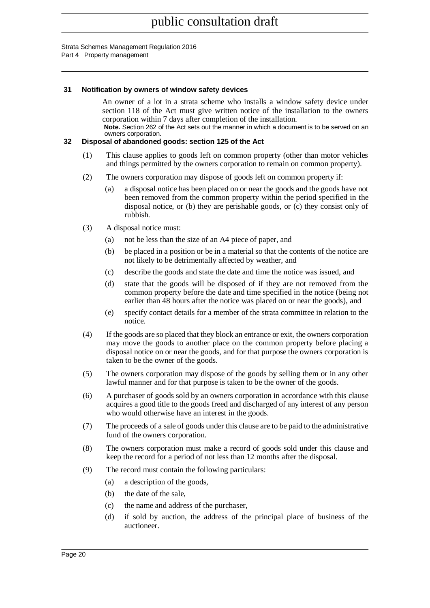#### Strata Schemes Management Regulation 2016 Part 4 Property management

#### **31 Notification by owners of window safety devices**

An owner of a lot in a strata scheme who installs a window safety device under section 118 of the Act must give written notice of the installation to the owners corporation within 7 days after completion of the installation. **Note.** Section 262 of the Act sets out the manner in which a document is to be served on an owners corporation.

#### **32 Disposal of abandoned goods: section 125 of the Act**

- (1) This clause applies to goods left on common property (other than motor vehicles and things permitted by the owners corporation to remain on common property).
- (2) The owners corporation may dispose of goods left on common property if:
	- (a) a disposal notice has been placed on or near the goods and the goods have not been removed from the common property within the period specified in the disposal notice, or (b) they are perishable goods, or (c) they consist only of rubbish.
- (3) A disposal notice must:
	- (a) not be less than the size of an A4 piece of paper, and
	- (b) be placed in a position or be in a material so that the contents of the notice are not likely to be detrimentally affected by weather, and
	- (c) describe the goods and state the date and time the notice was issued, and
	- (d) state that the goods will be disposed of if they are not removed from the common property before the date and time specified in the notice (being not earlier than 48 hours after the notice was placed on or near the goods), and
	- (e) specify contact details for a member of the strata committee in relation to the notice.
- (4) If the goods are so placed that they block an entrance or exit, the owners corporation may move the goods to another place on the common property before placing a disposal notice on or near the goods, and for that purpose the owners corporation is taken to be the owner of the goods.
- (5) The owners corporation may dispose of the goods by selling them or in any other lawful manner and for that purpose is taken to be the owner of the goods.
- (6) A purchaser of goods sold by an owners corporation in accordance with this clause acquires a good title to the goods freed and discharged of any interest of any person who would otherwise have an interest in the goods.
- (7) The proceeds of a sale of goods under this clause are to be paid to the administrative fund of the owners corporation.
- (8) The owners corporation must make a record of goods sold under this clause and keep the record for a period of not less than 12 months after the disposal.
- (9) The record must contain the following particulars:
	- (a) a description of the goods,
	- (b) the date of the sale,
	- (c) the name and address of the purchaser,
	- (d) if sold by auction, the address of the principal place of business of the auctioneer.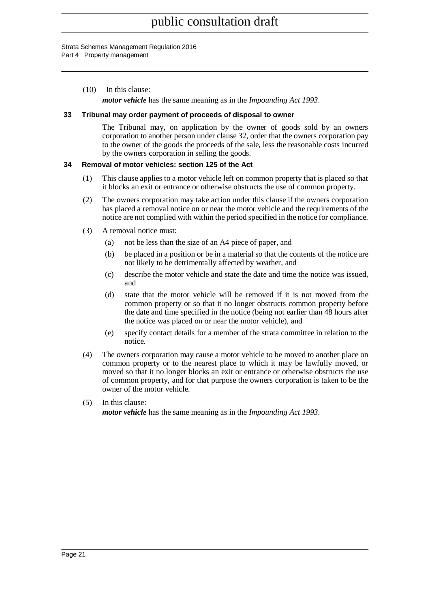#### Strata Schemes Management Regulation 2016 Part 4 Property management

(10) In this clause:

*motor vehicle* has the same meaning as in the *Impounding Act 1993*.

#### **33 Tribunal may order payment of proceeds of disposal to owner**

The Tribunal may, on application by the owner of goods sold by an owners corporation to another person under clause 32, order that the owners corporation pay to the owner of the goods the proceeds of the sale, less the reasonable costs incurred by the owners corporation in selling the goods.

#### **34 Removal of motor vehicles: section 125 of the Act**

- (1) This clause applies to a motor vehicle left on common property that is placed so that it blocks an exit or entrance or otherwise obstructs the use of common property.
- (2) The owners corporation may take action under this clause if the owners corporation has placed a removal notice on or near the motor vehicle and the requirements of the notice are not complied with within the period specified in the notice for compliance.
- (3) A removal notice must:
	- (a) not be less than the size of an A4 piece of paper, and
	- (b) be placed in a position or be in a material so that the contents of the notice are not likely to be detrimentally affected by weather, and
	- (c) describe the motor vehicle and state the date and time the notice was issued, and
	- (d) state that the motor vehicle will be removed if it is not moved from the common property or so that it no longer obstructs common property before the date and time specified in the notice (being not earlier than 48 hours after the notice was placed on or near the motor vehicle), and
	- (e) specify contact details for a member of the strata committee in relation to the notice.
- (4) The owners corporation may cause a motor vehicle to be moved to another place on common property or to the nearest place to which it may be lawfully moved, or moved so that it no longer blocks an exit or entrance or otherwise obstructs the use of common property, and for that purpose the owners corporation is taken to be the owner of the motor vehicle.
- (5) In this clause:

*motor vehicle* has the same meaning as in the *Impounding Act 1993*.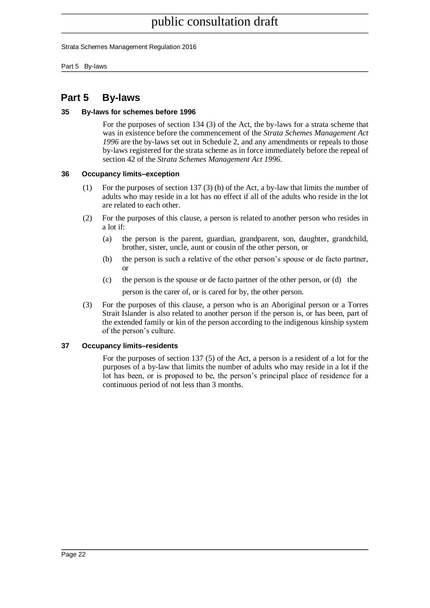Strata Schemes Management Regulation 2016

Part 5 By-laws

## **Part 5 By-laws**

#### **35 By-laws for schemes before 1996**

For the purposes of section 134 (3) of the Act, the by-laws for a strata scheme that was in existence before the commencement of the *Strata Schemes Management Act 1996* are the by-laws set out in Schedule 2, and any amendments or repeals to those by-laws registered for the strata scheme as in force immediately before the repeal of section 42 of the *Strata Schemes Management Act 1996*.

#### <span id="page-21-0"></span>**36 Occupancy limits–exception**

- (1) For the purposes of section 137 (3) (b) of the Act, a by-law that limits the number of adults who may reside in a lot has no effect if all of the adults who reside in the lot are related to each other.
- (2) For the purposes of this clause, a person is related to another person who resides in a lot if:
	- (a) the person is the parent, guardian, grandparent, son, daughter, grandchild, brother, sister, uncle, aunt or cousin of the other person, or
	- (b) the person is such a relative of the other person's spouse or de facto partner, or
	- (c) the person is the spouse or de facto partner of the other person, or (d) the person is the carer of, or is cared for by, the other person.
- (3) For the purposes of this clause, a person who is an Aboriginal person or a Torres Strait Islander is also related to another person if the person is, or has been, part of the extended family or kin of the person according to the indigenous kinship system of the person's culture.

#### <span id="page-21-1"></span>**37 Occupancy limits–residents**

For the purposes of section 137 (5) of the Act, a person is a resident of a lot for the purposes of a by-law that limits the number of adults who may reside in a lot if the lot has been, or is proposed to be, the person's principal place of residence for a continuous period of not less than 3 months.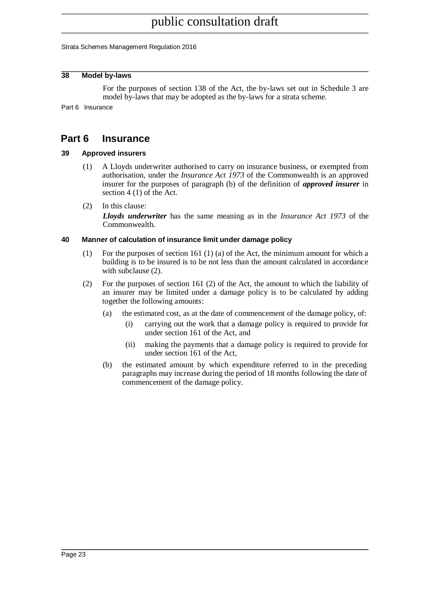Strata Schemes Management Regulation 2016

#### <span id="page-22-0"></span>**38 Model by-laws**

For the purposes of section 138 of the Act, the by-laws set out in Schedule 3 are model by-laws that may be adopted as the by-laws for a strata scheme.

<span id="page-22-1"></span>Part 6 Insurance

## **Part 6 Insurance**

#### <span id="page-22-2"></span>**39 Approved insurers**

- (1) A Lloyds underwriter authorised to carry on insurance business, or exempted from authorisation, under the *Insurance Act 1973* of the Commonwealth is an approved insurer for the purposes of paragraph (b) of the definition of *approved insurer* in section 4 (1) of the Act.
- (2) In this clause:

*Lloyds underwriter* has the same meaning as in the *Insurance Act 1973* of the Commonwealth.

#### <span id="page-22-3"></span>**40 Manner of calculation of insurance limit under damage policy**

- (1) For the purposes of section 161 (1) (a) of the Act, the minimum amount for which a building is to be insured is to be not less than the amount calculated in accordance with subclause  $(2)$ .
- (2) For the purposes of section 161 (2) of the Act, the amount to which the liability of an insurer may be limited under a damage policy is to be calculated by adding together the following amounts:
	- (a) the estimated cost, as at the date of commencement of the damage policy, of:
		- (i) carrying out the work that a damage policy is required to provide for under section 161 of the Act, and
		- (ii) making the payments that a damage policy is required to provide for under section 161 of the Act,
	- (b) the estimated amount by which expenditure referred to in the preceding paragraphs may increase during the period of 18 months following the date of commencement of the damage policy.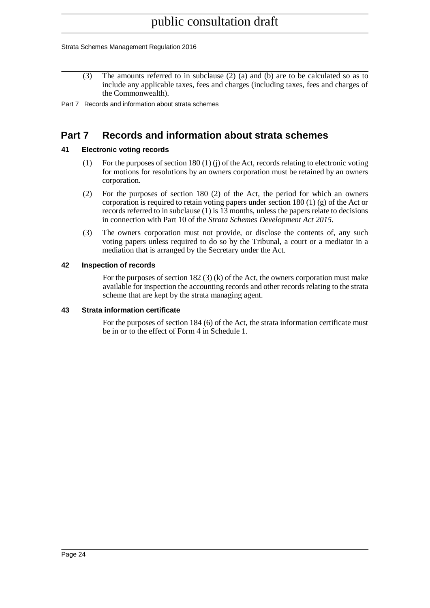#### Strata Schemes Management Regulation 2016

(3) The amounts referred to in subclause (2) (a) and (b) are to be calculated so as to include any applicable taxes, fees and charges (including taxes, fees and charges of the Commonwealth).

<span id="page-23-0"></span>Part 7 Records and information about strata schemes

## **Part 7 Records and information about strata schemes**

#### <span id="page-23-1"></span>**41 Electronic voting records**

- (1) For the purposes of section 180 (1) (j) of the Act, records relating to electronic voting for motions for resolutions by an owners corporation must be retained by an owners corporation.
- (2) For the purposes of section 180 (2) of the Act, the period for which an owners corporation is required to retain voting papers under section 180 (1) (g) of the Act or records referred to in subclause (1) is 13 months, unless the papers relate to decisions in connection with Part 10 of the *Strata Schemes Development Act 2015*.
- (3) The owners corporation must not provide, or disclose the contents of, any such voting papers unless required to do so by the Tribunal, a court or a mediator in a mediation that is arranged by the Secretary under the Act.

#### <span id="page-23-2"></span>**42 Inspection of records**

For the purposes of section 182  $(3)$  (k) of the Act, the owners corporation must make available for inspection the accounting records and other records relating to the strata scheme that are kept by the strata managing agent.

#### <span id="page-23-3"></span>**43 Strata information certificate**

For the purposes of section 184 (6) of the Act, the strata information certificate must be in or to the effect of Form 4 in Schedule 1.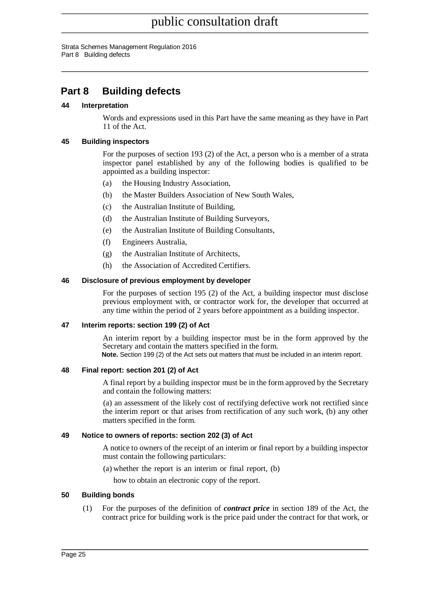Strata Schemes Management Regulation 2016 Part 8 Building defects

## <span id="page-24-0"></span>**Part 8 Building defects**

#### <span id="page-24-1"></span>**44 Interpretation**

Words and expressions used in this Part have the same meaning as they have in Part 11 of the Act.

#### <span id="page-24-2"></span>**45 Building inspectors**

For the purposes of section 193 (2) of the Act, a person who is a member of a strata inspector panel established by any of the following bodies is qualified to be appointed as a building inspector:

- (a) the Housing Industry Association,
- (b) the Master Builders Association of New South Wales,
- (c) the Australian Institute of Building,
- (d) the Australian Institute of Building Surveyors,
- (e) the Australian Institute of Building Consultants,
- (f) Engineers Australia,
- (g) the Australian Institute of Architects,
- (h) the Association of Accredited Certifiers.

#### <span id="page-24-3"></span>**46 Disclosure of previous employment by developer**

For the purposes of section 195 (2) of the Act, a building inspector must disclose previous employment with, or contractor work for, the developer that occurred at any time within the period of 2 years before appointment as a building inspector.

#### <span id="page-24-4"></span>**47 Interim reports: section 199 (2) of Act**

An interim report by a building inspector must be in the form approved by the Secretary and contain the matters specified in the form. **Note.** Section 199 (2) of the Act sets out matters that must be included in an interim report.

#### <span id="page-24-5"></span>**48 Final report: section 201 (2) of Act**

A final report by a building inspector must be in the form approved by the Secretary and contain the following matters:

(a) an assessment of the likely cost of rectifying defective work not rectified since the interim report or that arises from rectification of any such work, (b) any other matters specified in the form.

#### <span id="page-24-6"></span>**49 Notice to owners of reports: section 202 (3) of Act**

A notice to owners of the receipt of an interim or final report by a building inspector must contain the following particulars:

(a) whether the report is an interim or final report, (b)

how to obtain an electronic copy of the report.

#### <span id="page-24-7"></span>**50 Building bonds**

(1) For the purposes of the definition of *contract price* in section 189 of the Act, the contract price for building work is the price paid under the contract for that work, or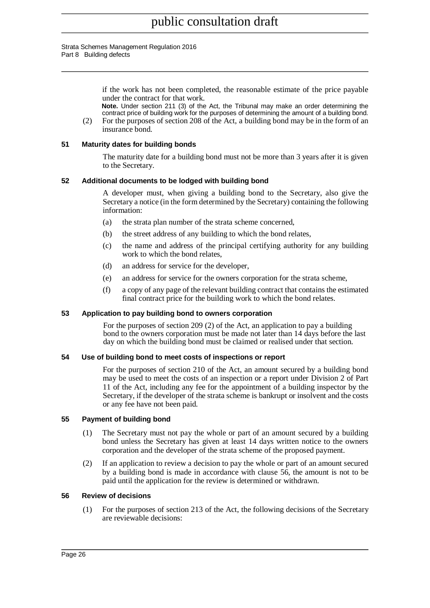#### Strata Schemes Management Regulation 2016 Part 8 Building defects

if the work has not been completed, the reasonable estimate of the price payable under the contract for that work.

**Note.** Under section 211 (3) of the Act, the Tribunal may make an order determining the contract price of building work for the purposes of determining the amount of a building bond.

(2) For the purposes of section 208 of the Act, a building bond may be in the form of an insurance bond.

#### <span id="page-25-0"></span>**51 Maturity dates for building bonds**

The maturity date for a building bond must not be more than 3 years after it is given to the Secretary.

#### <span id="page-25-1"></span>**52 Additional documents to be lodged with building bond**

A developer must, when giving a building bond to the Secretary, also give the Secretary a notice (in the form determined by the Secretary) containing the following information:

- (a) the strata plan number of the strata scheme concerned,
- (b) the street address of any building to which the bond relates,
- (c) the name and address of the principal certifying authority for any building work to which the bond relates,
- (d) an address for service for the developer,
- (e) an address for service for the owners corporation for the strata scheme,
- (f) a copy of any page of the relevant building contract that contains the estimated final contract price for the building work to which the bond relates.

#### <span id="page-25-2"></span>**53 Application to pay building bond to owners corporation**

For the purposes of section 209 (2) of the Act, an application to pay a building bond to the owners corporation must be made not later than 14 days before the last day on which the building bond must be claimed or realised under that section.

#### <span id="page-25-3"></span>**54 Use of building bond to meet costs of inspections or report**

For the purposes of section 210 of the Act, an amount secured by a building bond may be used to meet the costs of an inspection or a report under Division 2 of Part 11 of the Act, including any fee for the appointment of a building inspector by the Secretary, if the developer of the strata scheme is bankrupt or insolvent and the costs or any fee have not been paid.

#### <span id="page-25-4"></span>**55 Payment of building bond**

- (1) The Secretary must not pay the whole or part of an amount secured by a building bond unless the Secretary has given at least 14 days written notice to the owners corporation and the developer of the strata scheme of the proposed payment.
- (2) If an application to review a decision to pay the whole or part of an amount secured by a building bond is made in accordance with clause 56, the amount is not to be paid until the application for the review is determined or withdrawn.

#### <span id="page-25-5"></span>**56 Review of decisions**

(1) For the purposes of section 213 of the Act, the following decisions of the Secretary are reviewable decisions: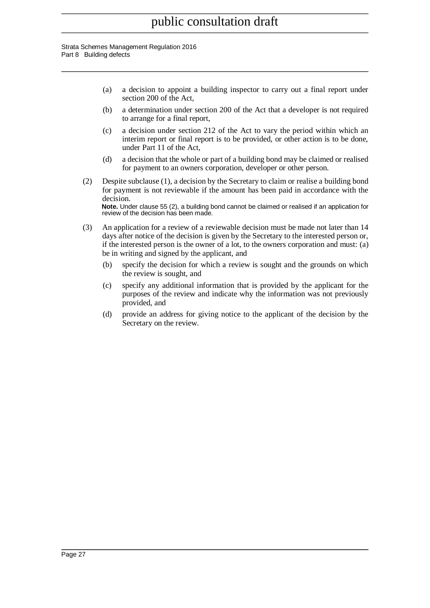#### Strata Schemes Management Regulation 2016 Part 8 Building defects

- (a) a decision to appoint a building inspector to carry out a final report under section 200 of the Act,
- (b) a determination under section 200 of the Act that a developer is not required to arrange for a final report,
- (c) a decision under section 212 of the Act to vary the period within which an interim report or final report is to be provided, or other action is to be done, under Part 11 of the Act,
- (d) a decision that the whole or part of a building bond may be claimed or realised for payment to an owners corporation, developer or other person.
- (2) Despite subclause (1), a decision by the Secretary to claim or realise a building bond for payment is not reviewable if the amount has been paid in accordance with the decision. **Note.** Under clause 55 (2), a building bond cannot be claimed or realised if an application for

review of the decision has been made.

- (3) An application for a review of a reviewable decision must be made not later than 14 days after notice of the decision is given by the Secretary to the interested person or, if the interested person is the owner of a lot, to the owners corporation and must: (a) be in writing and signed by the applicant, and
	- (b) specify the decision for which a review is sought and the grounds on which the review is sought, and
	- (c) specify any additional information that is provided by the applicant for the purposes of the review and indicate why the information was not previously provided, and
	- (d) provide an address for giving notice to the applicant of the decision by the Secretary on the review.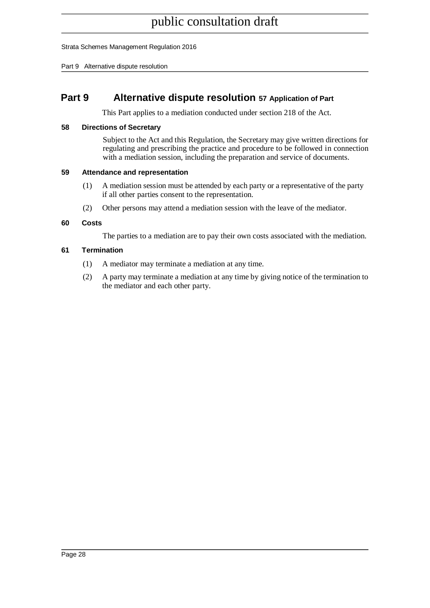Strata Schemes Management Regulation 2016

Part 9 Alternative dispute resolution

## <span id="page-27-0"></span>**Part 9 Alternative dispute resolution 57 Application of Part**

This Part applies to a mediation conducted under section 218 of the Act.

#### <span id="page-27-1"></span>**58 Directions of Secretary**

Subject to the Act and this Regulation, the Secretary may give written directions for regulating and prescribing the practice and procedure to be followed in connection with a mediation session, including the preparation and service of documents.

#### <span id="page-27-2"></span>**59 Attendance and representation**

- (1) A mediation session must be attended by each party or a representative of the party if all other parties consent to the representation.
- (2) Other persons may attend a mediation session with the leave of the mediator.

#### <span id="page-27-3"></span>**60 Costs**

The parties to a mediation are to pay their own costs associated with the mediation.

#### <span id="page-27-4"></span>**61 Termination**

- (1) A mediator may terminate a mediation at any time.
- (2) A party may terminate a mediation at any time by giving notice of the termination to the mediator and each other party.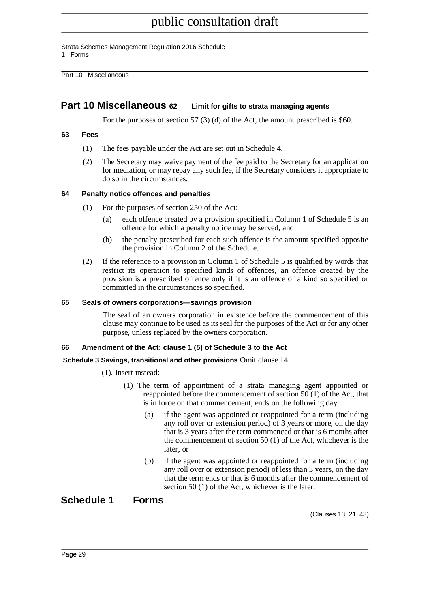Strata Schemes Management Regulation 2016 Schedule

1 Forms

Part 10 Miscellaneous

## <span id="page-28-0"></span>**Part 10 Miscellaneous 62 Limit for gifts to strata managing agents**

For the purposes of section 57 (3) (d) of the Act, the amount prescribed is \$60.

#### <span id="page-28-1"></span>**63 Fees**

- (1) The fees payable under the Act are set out in Schedule 4.
- (2) The Secretary may waive payment of the fee paid to the Secretary for an application for mediation, or may repay any such fee, if the Secretary considers it appropriate to do so in the circumstances.

#### <span id="page-28-2"></span>**64 Penalty notice offences and penalties**

- (1) For the purposes of section 250 of the Act:
	- (a) each offence created by a provision specified in Column 1 of Schedule 5 is an offence for which a penalty notice may be served, and
	- (b) the penalty prescribed for each such offence is the amount specified opposite the provision in Column 2 of the Schedule.
- (2) If the reference to a provision in Column 1 of Schedule 5 is qualified by words that restrict its operation to specified kinds of offences, an offence created by the provision is a prescribed offence only if it is an offence of a kind so specified or committed in the circumstances so specified.

#### <span id="page-28-3"></span>**65 Seals of owners corporations—savings provision**

The seal of an owners corporation in existence before the commencement of this clause may continue to be used as its seal for the purposes of the Act or for any other purpose, unless replaced by the owners corporation.

#### <span id="page-28-4"></span>**66 Amendment of the Act: clause 1 (5) of Schedule 3 to the Act**

#### **Schedule 3 Savings, transitional and other provisions** Omit clause 14

- (1). Insert instead:
	- (1) The term of appointment of a strata managing agent appointed or reappointed before the commencement of section 50 (1) of the Act, that is in force on that commencement, ends on the following day:
		- (a) if the agent was appointed or reappointed for a term (including any roll over or extension period) of 3 years or more, on the day that is 3 years after the term commenced or that is 6 months after the commencement of section 50 (1) of the Act, whichever is the later, or
		- (b) if the agent was appointed or reappointed for a term (including any roll over or extension period) of less than 3 years, on the day that the term ends or that is 6 months after the commencement of section 50 (1) of the Act, whichever is the later.

## <span id="page-28-5"></span>**Schedule 1 Forms**

(Clauses 13, 21, 43)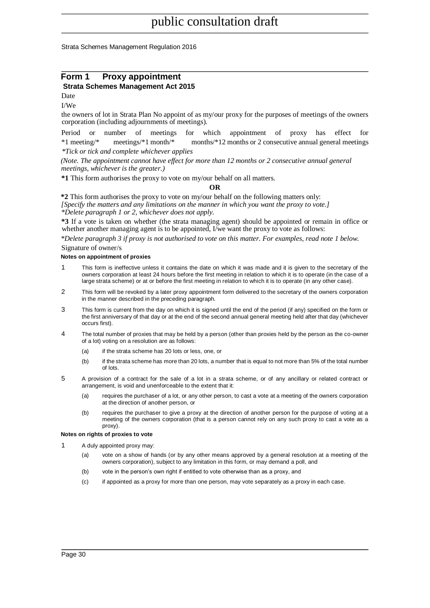Strata Schemes Management Regulation 2016

#### **Form 1 Proxy appointment Strata Schemes Management Act 2015**

Date

I/We

the owners of lot in Strata Plan No appoint of as my/our proxy for the purposes of meetings of the owners corporation (including adjournments of meetings).

Period or number of meetings for which appointment of proxy has effect for \*1 meeting/\* meetings/\*1 month/\* months/\*12 months or 2 consecutive annual general meetings *\*Tick or tick and complete whichever applies*

*(Note. The appointment cannot have effect for more than 12 months or 2 consecutive annual general meetings, whichever is the greater.)*

**\*1** This form authorises the proxy to vote on my/our behalf on all matters.

#### **OR**

**\*2** This form authorises the proxy to vote on my/our behalf on the following matters only: *[Specify the matters and any limitations on the manner in which you want the proxy to vote.] \*Delete paragraph 1 or 2, whichever does not apply.*

**\*3** If a vote is taken on whether (the strata managing agent) should be appointed or remain in office or whether another managing agent is to be appointed, I/we want the proxy to vote as follows:

*\*Delete paragraph 3 if proxy is not authorised to vote on this matter. For examples, read note 1 below.* Signature of owner/s

#### **Notes on appointment of proxies**

- 1 This form is ineffective unless it contains the date on which it was made and it is given to the secretary of the owners corporation at least 24 hours before the first meeting in relation to which it is to operate (in the case of a large strata scheme) or at or before the first meeting in relation to which it is to operate (in any other case).
- 2 This form will be revoked by a later proxy appointment form delivered to the secretary of the owners corporation in the manner described in the preceding paragraph.
- 3 This form is current from the day on which it is signed until the end of the period (if any) specified on the form or the first anniversary of that day or at the end of the second annual general meeting held after that day (whichever occurs first).
- 4 The total number of proxies that may be held by a person (other than proxies held by the person as the co-owner of a lot) voting on a resolution are as follows:
	- (a) if the strata scheme has 20 lots or less, one, or
	- (b) if the strata scheme has more than 20 lots, a number that is equal to not more than 5% of the total number of lots.
- 5 A provision of a contract for the sale of a lot in a strata scheme, or of any ancillary or related contract or arrangement, is void and unenforceable to the extent that it:
	- (a) requires the purchaser of a lot, or any other person, to cast a vote at a meeting of the owners corporation at the direction of another person, or
	- (b) requires the purchaser to give a proxy at the direction of another person for the purpose of voting at a meeting of the owners corporation (that is a person cannot rely on any such proxy to cast a vote as a proxy).

#### **Notes on rights of proxies to vote**

- A duly appointed proxy may:
	- (a) vote on a show of hands (or by any other means approved by a general resolution at a meeting of the owners corporation), subject to any limitation in this form, or may demand a poll, and
	- (b) vote in the person's own right if entitled to vote otherwise than as a proxy, and
	- (c) if appointed as a proxy for more than one person, may vote separately as a proxy in each case.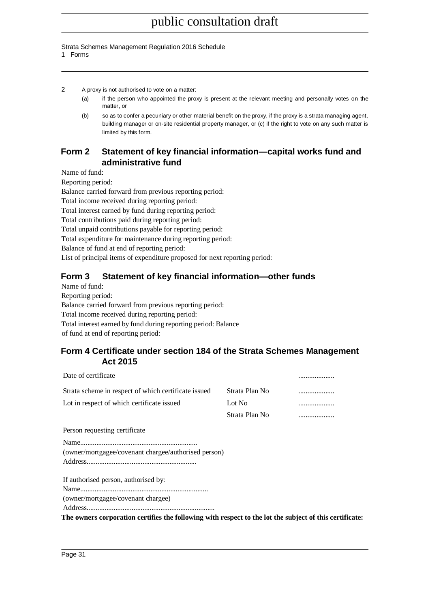#### Strata Schemes Management Regulation 2016 Schedule

1 Forms

- 2 A proxy is not authorised to vote on a matter:
	- (a) if the person who appointed the proxy is present at the relevant meeting and personally votes on the matter, or
	- (b) so as to confer a pecuniary or other material benefit on the proxy, if the proxy is a strata managing agent, building manager or on-site residential property manager, or (c) if the right to vote on any such matter is limited by this form.

## **Form 2 Statement of key financial information—capital works fund and administrative fund**

Name of fund:

Reporting period:

Balance carried forward from previous reporting period:

Total income received during reporting period:

Total interest earned by fund during reporting period:

Total contributions paid during reporting period:

Total unpaid contributions payable for reporting period:

Total expenditure for maintenance during reporting period:

Balance of fund at end of reporting period:

List of principal items of expenditure proposed for next reporting period:

## **Form 3 Statement of key financial information—other funds**

Name of fund:

Reporting period:

Balance carried forward from previous reporting period:

Total income received during reporting period:

Total interest earned by fund during reporting period: Balance

of fund at end of reporting period:

### **Form 4 Certificate under section 184 of the Strata Schemes Management Act 2015**

| Date of certificate                                  |                |   |
|------------------------------------------------------|----------------|---|
| Strata scheme in respect of which certificate issued | Strata Plan No |   |
| Lot in respect of which certificate issued           | Lot No         | . |
|                                                      | Strata Plan No |   |
| Person requesting certificate                        |                |   |
| (owner/mortgagee/covenant chargee/authorised person) |                |   |
| If authorised person, authorised by:                 |                |   |
|                                                      |                |   |
| (owner/mortgagee/covenant chargee)                   |                |   |
|                                                      |                |   |

**The owners corporation certifies the following with respect to the lot the subject of this certificate:**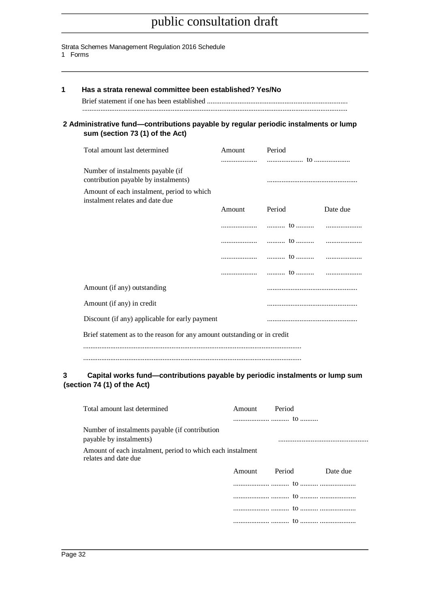#### Strata Schemes Management Regulation 2016 Schedule

#### 1 Forms

| 2 Administrative fund-contributions payable by regular periodic instalments or lump<br>sum (section 73 (1) of the Act)                      |               |        |          |
|---------------------------------------------------------------------------------------------------------------------------------------------|---------------|--------|----------|
| Total amount last determined                                                                                                                | Amount Period |        |          |
| Number of instalments payable (if<br>contribution payable by instalments)                                                                   |               |        |          |
| Amount of each instalment, period to which<br>instalment relates and date due                                                               |               |        |          |
|                                                                                                                                             | Amount        | Period | Date due |
|                                                                                                                                             |               |        |          |
|                                                                                                                                             | .             | to     | .        |
|                                                                                                                                             | .             | to     | .        |
|                                                                                                                                             | .             |        |          |
| Amount (if any) outstanding                                                                                                                 |               |        |          |
| Amount (if any) in credit                                                                                                                   |               |        |          |
| Discount (if any) applicable for early payment                                                                                              |               |        |          |
|                                                                                                                                             |               |        |          |
| Brief statement as to the reason for any amount outstanding or in credit                                                                    |               |        |          |
|                                                                                                                                             |               |        |          |
| Capital works fund—contributions payable by periodic instalments or lump sum<br>(section 74 (1) of the Act)<br>Total amount last determined | Amount        | Period |          |
| Number of instalments payable (if contribution<br>payable by instalments)                                                                   |               |        |          |
| Amount of each instalment, period to which each instalment<br>relates and date due                                                          |               |        |          |
|                                                                                                                                             | Amount        | Period | Date due |
|                                                                                                                                             |               |        |          |
|                                                                                                                                             |               |        |          |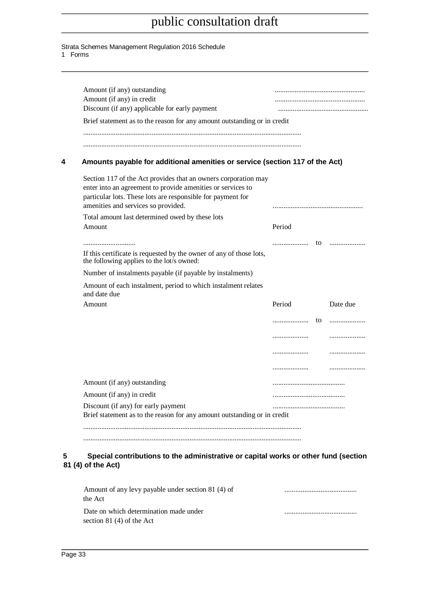Strata Schemes Management Regulation 2016 Schedule

1 Forms

| Amount (if any) in credit<br>Discount (if any) applicable for early payment                                                                                                                                                         |        |          |
|-------------------------------------------------------------------------------------------------------------------------------------------------------------------------------------------------------------------------------------|--------|----------|
| Brief statement as to the reason for any amount outstanding or in credit                                                                                                                                                            |        |          |
|                                                                                                                                                                                                                                     |        |          |
| Amounts payable for additional amenities or service (section 117 of the Act)                                                                                                                                                        |        |          |
| Section 117 of the Act provides that an owners corporation may<br>enter into an agreement to provide amenities or services to<br>particular lots. These lots are responsible for payment for<br>amenities and services so provided. |        |          |
| Total amount last determined owed by these lots                                                                                                                                                                                     |        |          |
| Amount                                                                                                                                                                                                                              | Period |          |
|                                                                                                                                                                                                                                     |        |          |
| If this certificate is requested by the owner of any of those lots,<br>the following applies to the lot's owned:                                                                                                                    |        |          |
| Number of instalments payable (if payable by instalments)                                                                                                                                                                           |        |          |
| Amount of each instalment, period to which instalment relates<br>and date due                                                                                                                                                       |        |          |
| Amount                                                                                                                                                                                                                              | Period | Date due |
|                                                                                                                                                                                                                                     | to     | .        |
|                                                                                                                                                                                                                                     | .      | .        |
|                                                                                                                                                                                                                                     |        | .        |
|                                                                                                                                                                                                                                     | .      |          |
| Amount (if any) outstanding                                                                                                                                                                                                         |        |          |
| Amount (if any) in credit                                                                                                                                                                                                           |        |          |
| Discount (if any) for early payment                                                                                                                                                                                                 |        |          |
| Brief statement as to the reason for any amount outstanding or in credit                                                                                                                                                            |        |          |
|                                                                                                                                                                                                                                     |        |          |

Amount of any levy payable under section 81 (4) of ........................................ the Act Date on which determination made under ........................................ section 81 (4) of the Act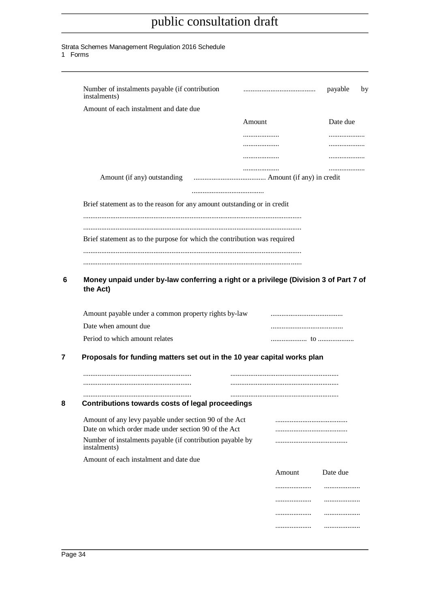#### Strata Schemes Management Regulation 2016 Schedule

1 Forms

| instalments)                                                                                                                                                                                                                          |        | payable<br>by |
|---------------------------------------------------------------------------------------------------------------------------------------------------------------------------------------------------------------------------------------|--------|---------------|
| Amount of each instalment and date due                                                                                                                                                                                                |        |               |
|                                                                                                                                                                                                                                       | Amount | Date due      |
|                                                                                                                                                                                                                                       | .      |               |
|                                                                                                                                                                                                                                       | .      | .             |
|                                                                                                                                                                                                                                       | .      | .             |
| Amount (if any) outstanding                                                                                                                                                                                                           |        |               |
| Brief statement as to the reason for any amount outstanding or in credit                                                                                                                                                              |        |               |
| Brief statement as to the purpose for which the contribution was required                                                                                                                                                             |        |               |
|                                                                                                                                                                                                                                       |        |               |
| Money unpaid under by-law conferring a right or a privilege (Division 3 of Part 7 of<br>the Act)                                                                                                                                      |        |               |
|                                                                                                                                                                                                                                       |        |               |
|                                                                                                                                                                                                                                       |        |               |
|                                                                                                                                                                                                                                       |        |               |
|                                                                                                                                                                                                                                       |        |               |
| Amount payable under a common property rights by-law<br>Date when amount due<br>Period to which amount relates<br>Proposals for funding matters set out in the 10 year capital works plan                                             |        |               |
|                                                                                                                                                                                                                                       |        |               |
|                                                                                                                                                                                                                                       |        |               |
| Contributions towards costs of legal proceedings                                                                                                                                                                                      |        |               |
|                                                                                                                                                                                                                                       |        |               |
|                                                                                                                                                                                                                                       |        |               |
|                                                                                                                                                                                                                                       |        |               |
|                                                                                                                                                                                                                                       | Amount | Date due      |
| Amount of any levy payable under section 90 of the Act<br>Date on which order made under section 90 of the Act<br>Number of instalments payable (if contribution payable by<br>instalments)<br>Amount of each instalment and date due | .      | .             |
|                                                                                                                                                                                                                                       | .      | .             |
|                                                                                                                                                                                                                                       | .      | .             |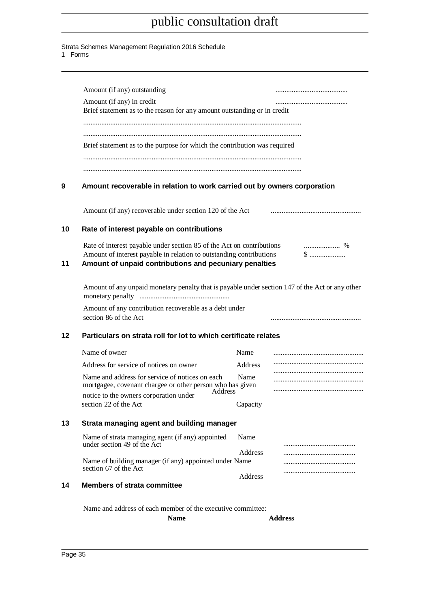#### Strata Schemes Management Regulation 2016 Schedule

1 Forms

|    | Amount (if any) outstanding                                                                                                                                                                            |                |                |
|----|--------------------------------------------------------------------------------------------------------------------------------------------------------------------------------------------------------|----------------|----------------|
|    | Amount (if any) in credit<br>Brief statement as to the reason for any amount outstanding or in credit                                                                                                  |                |                |
|    |                                                                                                                                                                                                        |                |                |
|    | Brief statement as to the purpose for which the contribution was required                                                                                                                              |                |                |
|    |                                                                                                                                                                                                        |                |                |
| 9  | Amount recoverable in relation to work carried out by owners corporation                                                                                                                               |                |                |
|    | Amount (if any) recoverable under section 120 of the Act                                                                                                                                               |                |                |
| 10 | Rate of interest payable on contributions                                                                                                                                                              |                |                |
| 11 | Rate of interest payable under section 85 of the Act on contributions<br>Amount of interest payable in relation to outstanding contributions<br>Amount of unpaid contributions and pecuniary penalties |                |                |
|    | Amount of any unpaid monetary penalty that is payable under section 147 of the Act or any other                                                                                                        |                |                |
|    | Amount of any contribution recoverable as a debt under<br>section 86 of the Act                                                                                                                        |                |                |
| 12 | Particulars on strata roll for lot to which certificate relates                                                                                                                                        |                |                |
|    | Name of owner                                                                                                                                                                                          | Name           |                |
|    | Address for service of notices on owner                                                                                                                                                                | Address        |                |
|    | Name and address for service of notices on each<br>mortgagee, covenant chargee or other person who has given                                                                                           | Name           |                |
|    | Address<br>notice to the owners corporation under                                                                                                                                                      |                |                |
|    | section 22 of the Act                                                                                                                                                                                  | Capacity       |                |
| 13 | Strata managing agent and building manager                                                                                                                                                             |                |                |
|    | Name of strata managing agent (if any) appointed<br>under section 49 of the Act                                                                                                                        | Name           |                |
|    | Name of building manager (if any) appointed under Name<br>section 67 of the Act                                                                                                                        | <b>Address</b> |                |
| 14 | <b>Members of strata committee</b>                                                                                                                                                                     | <b>Address</b> |                |
|    |                                                                                                                                                                                                        |                |                |
|    | Name and address of each member of the executive committee:<br><b>Name</b>                                                                                                                             |                | <b>Address</b> |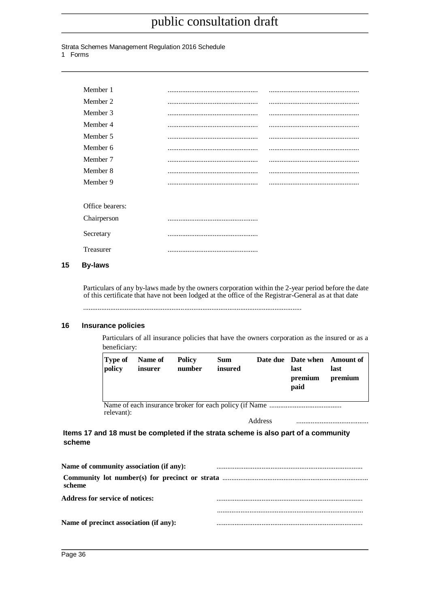#### Strata Schemes Management Regulation 2016 Schedule

1 Forms

| Member 1        |  |
|-----------------|--|
| Member 2        |  |
| Member 3        |  |
| Member 4        |  |
| Member 5        |  |
| Member 6        |  |
| Member 7        |  |
| Member 8        |  |
| Member 9        |  |
|                 |  |
| Office bearers: |  |
| Chairperson     |  |
| Secretary       |  |
| Treasurer       |  |

#### **15 By-laws**

Particulars of any by-laws made by the owners corporation within the 2-year period before the date of this certificate that have not been lodged at the office of the Registrar-General as at that date

.........................................................................................................................

#### **16 Insurance policies**

Particulars of all insurance policies that have the owners corporation as the insured or as a beneficiary:

| Type of<br>policy | Name of<br>insurer | <b>Policy</b><br>number | <b>Sum</b><br>insured |         | Date due Date when Amount of<br>last<br>premium<br>paid | last<br>premium |
|-------------------|--------------------|-------------------------|-----------------------|---------|---------------------------------------------------------|-----------------|
| relevant):        |                    |                         |                       | Address |                                                         |                 |

#### **Items 17 and 18 must be completed if the strata scheme is also part of a community scheme**

| Name of community association (if any): |  |
|-----------------------------------------|--|
| scheme                                  |  |
| <b>Address for service of notices:</b>  |  |
|                                         |  |
| Name of precinct association (if any):  |  |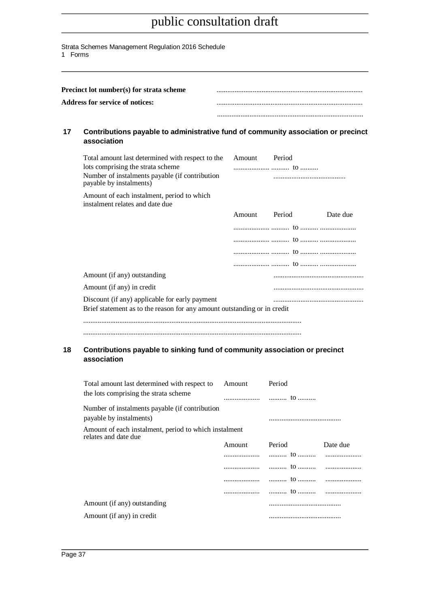Strata Schemes Management Regulation 2016 Schedule

1 Forms

|    | Precinct lot number(s) for strata scheme                            |                                                                                   |
|----|---------------------------------------------------------------------|-----------------------------------------------------------------------------------|
|    | <b>Address for service of notices:</b>                              |                                                                                   |
|    |                                                                     |                                                                                   |
| 17 | association                                                         | Contributions payable to administrative fund of community association or precinct |
|    | $\text{Total number of local distributions of width of the table.}$ |                                                                                   |

| Total amount last determined with respect to the                              | Amount | Period |          |
|-------------------------------------------------------------------------------|--------|--------|----------|
| lots comprising the strata scheme                                             |        |        |          |
| Number of instalments payable (if contribution<br>payable by instalments)     |        |        |          |
| Amount of each instalment, period to which<br>instalment relates and date due |        |        |          |
|                                                                               | Amount | Period | Date due |
|                                                                               |        |        |          |
|                                                                               |        |        |          |
|                                                                               |        |        |          |
|                                                                               |        |        |          |
| Amount (if any) outstanding                                                   |        |        |          |
| Amount (if any) in credit                                                     |        |        |          |
| Discount (if any) applicable for early payment                                |        |        |          |
| Brief statement as to the reason for any amount outstanding or in credit      |        |        |          |
|                                                                               |        |        |          |
|                                                                               |        |        |          |

#### **18 Contributions payable to sinking fund of community association or precinct association**

| Total amount last determined with respect to                                  | Amount | Period |          |
|-------------------------------------------------------------------------------|--------|--------|----------|
| the lots comprising the strata scheme                                         |        |        |          |
| Number of instalments payable (if contribution<br>payable by instalments)     |        |        |          |
| Amount of each instalment, period to which instalment<br>relates and date due |        |        |          |
|                                                                               | Amount | Period | Date due |
|                                                                               |        |        |          |
|                                                                               |        |        |          |
|                                                                               |        |        |          |
|                                                                               |        |        |          |
| Amount (if any) outstanding                                                   |        |        |          |
| Amount (if any) in credit                                                     |        |        |          |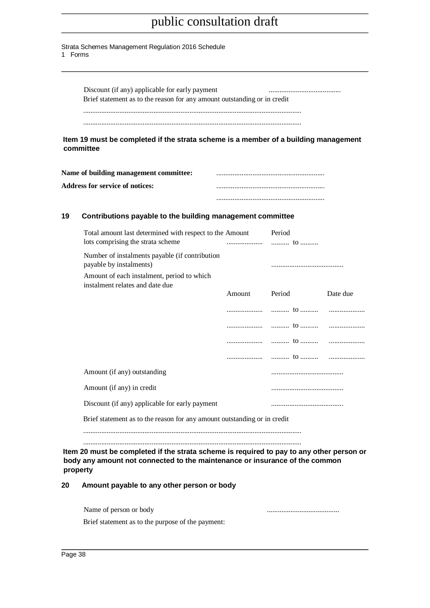Strata Schemes Management Regulation 2016 Schedule 1 Forms

> Discount (if any) applicable for early payment ........................................ Brief statement as to the reason for any amount outstanding or in credit ......................................................................................................................... .........................................................................................................................

**Item 19 must be completed if the strata scheme is a member of a building management committee**

| Name of building management committee: |  |
|----------------------------------------|--|
| <b>Address for service of notices:</b> |  |
|                                        |  |

#### **19 Contributions payable to the building management committee**

| Total amount last determined with respect to the Amount                       |        | Period |          |  |
|-------------------------------------------------------------------------------|--------|--------|----------|--|
| lots comprising the strata scheme                                             |        |        |          |  |
| Number of instalments payable (if contribution<br>payable by instalments)     |        |        |          |  |
| Amount of each instalment, period to which<br>instalment relates and date due |        |        |          |  |
|                                                                               | Amount | Period | Date due |  |
|                                                                               |        |        |          |  |
|                                                                               |        |        |          |  |
|                                                                               |        |        |          |  |
|                                                                               |        |        |          |  |
| Amount (if any) outstanding                                                   |        |        |          |  |
| Amount (if any) in credit                                                     |        |        |          |  |
| Discount (if any) applicable for early payment                                |        |        |          |  |
| Brief statement as to the reason for any amount outstanding or in credit      |        |        |          |  |
|                                                                               |        |        |          |  |

## **20 Amount payable to any other person or body**

| Name of person or body |  |
|------------------------|--|
|                        |  |

Brief statement as to the purpose of the payment: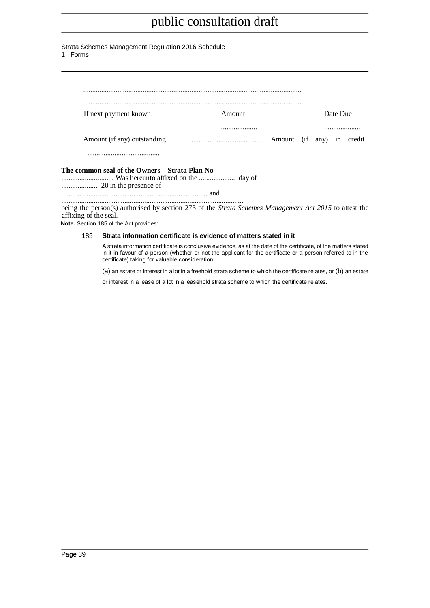| Strata Schemes Management Regulation 2016 Schedule |  |  |  |
|----------------------------------------------------|--|--|--|
|----------------------------------------------------|--|--|--|

1 Forms

| If next payment known:                                                                                                         | Amount |  | Date Due |   |
|--------------------------------------------------------------------------------------------------------------------------------|--------|--|----------|---|
|                                                                                                                                | .      |  |          | . |
| Amount (if any) outstanding                                                                                                    |        |  |          |   |
|                                                                                                                                |        |  |          |   |
| The common seal of the Owners—Strata Plan No                                                                                   |        |  |          |   |
|                                                                                                                                |        |  |          |   |
| being the person(s) authorised by section 273 of the Strata Schemes Management Act 2015 to attest the<br>affixing of the seal. |        |  |          |   |

**Note.** Section 185 of the Act provides:

#### 185 **Strata information certificate is evidence of matters stated in it**

A strata information certificate is conclusive evidence, as at the date of the certificate, of the matters stated in it in favour of a person (whether or not the applicant for the certificate or a person referred to in the certificate) taking for valuable consideration:

(a) an estate or interest in a lot in a freehold strata scheme to which the certificate relates, or (b) an estate

or interest in a lease of a lot in a leasehold strata scheme to which the certificate relates.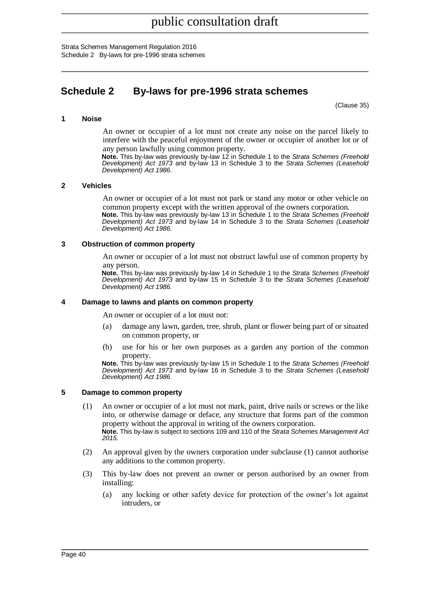Strata Schemes Management Regulation 2016 Schedule 2 By-laws for pre-1996 strata schemes

## <span id="page-39-0"></span>**Schedule 2 By-laws for pre-1996 strata schemes**

(Clause 35)

#### **1 Noise**

An owner or occupier of a lot must not create any noise on the parcel likely to interfere with the peaceful enjoyment of the owner or occupier of another lot or of any person lawfully using common property.

**Note.** This by-law was previously by-law 12 in Schedule 1 to the *Strata Schemes (Freehold Development) Act 1973* and by-law 13 in Schedule 3 to the *Strata Schemes (Leasehold Development) Act 1986*.

#### **2 Vehicles**

An owner or occupier of a lot must not park or stand any motor or other vehicle on common property except with the written approval of the owners corporation.

**Note.** This by-law was previously by-law 13 in Schedule 1 to the *Strata Schemes (Freehold Development) Act 1973* and by-law 14 in Schedule 3 to the *Strata Schemes (Leasehold Development) Act 1986*.

#### **3 Obstruction of common property**

An owner or occupier of a lot must not obstruct lawful use of common property by any person.

**Note.** This by-law was previously by-law 14 in Schedule 1 to the *Strata Schemes (Freehold Development) Act 1973* and by-law 15 in Schedule 3 to the *Strata Schemes (Leasehold Development) Act 1986*.

#### **4 Damage to lawns and plants on common property**

An owner or occupier of a lot must not:

- (a) damage any lawn, garden, tree, shrub, plant or flower being part of or situated on common property, or
- (b) use for his or her own purposes as a garden any portion of the common property.

**Note.** This by-law was previously by-law 15 in Schedule 1 to the *Strata Schemes (Freehold Development) Act 1973* and by-law 16 in Schedule 3 to the *Strata Schemes (Leasehold Development) Act 1986*.

#### **5 Damage to common property**

- (1) An owner or occupier of a lot must not mark, paint, drive nails or screws or the like into, or otherwise damage or deface, any structure that forms part of the common property without the approval in writing of the owners corporation. **Note.** This by-law is subject to sections 109 and 110 of the *Strata Schemes Management Act 2015*.
- (2) An approval given by the owners corporation under subclause (1) cannot authorise any additions to the common property.
- (3) This by-law does not prevent an owner or person authorised by an owner from installing:
	- (a) any locking or other safety device for protection of the owner's lot against intruders, or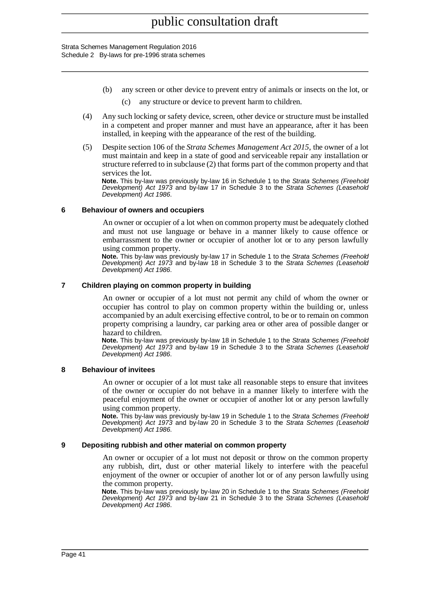Strata Schemes Management Regulation 2016 Schedule 2 By-laws for pre-1996 strata schemes

- (b) any screen or other device to prevent entry of animals or insects on the lot, or (c) any structure or device to prevent harm to children.
- (4) Any such locking or safety device, screen, other device or structure must be installed in a competent and proper manner and must have an appearance, after it has been installed, in keeping with the appearance of the rest of the building.
- (5) Despite section 106 of the *Strata Schemes Management Act 2015*, the owner of a lot must maintain and keep in a state of good and serviceable repair any installation or structure referred to in subclause (2) that forms part of the common property and that services the lot.

**Note.** This by-law was previously by-law 16 in Schedule 1 to the *Strata Schemes (Freehold Development) Act 1973* and by-law 17 in Schedule 3 to the *Strata Schemes (Leasehold Development) Act 1986*.

#### **6 Behaviour of owners and occupiers**

An owner or occupier of a lot when on common property must be adequately clothed and must not use language or behave in a manner likely to cause offence or embarrassment to the owner or occupier of another lot or to any person lawfully using common property.

**Note.** This by-law was previously by-law 17 in Schedule 1 to the *Strata Schemes (Freehold Development) Act 1973* and by-law 18 in Schedule 3 to the *Strata Schemes (Leasehold Development) Act 1986*.

#### **7 Children playing on common property in building**

An owner or occupier of a lot must not permit any child of whom the owner or occupier has control to play on common property within the building or, unless accompanied by an adult exercising effective control, to be or to remain on common property comprising a laundry, car parking area or other area of possible danger or hazard to children.

**Note.** This by-law was previously by-law 18 in Schedule 1 to the *Strata Schemes (Freehold Development) Act 1973* and by-law 19 in Schedule 3 to the *Strata Schemes (Leasehold Development) Act 1986*.

#### **8 Behaviour of invitees**

An owner or occupier of a lot must take all reasonable steps to ensure that invitees of the owner or occupier do not behave in a manner likely to interfere with the peaceful enjoyment of the owner or occupier of another lot or any person lawfully using common property.

**Note.** This by-law was previously by-law 19 in Schedule 1 to the *Strata Schemes (Freehold Development) Act 1973* and by-law 20 in Schedule 3 to the *Strata Schemes (Leasehold Development) Act 1986*.

#### **9 Depositing rubbish and other material on common property**

An owner or occupier of a lot must not deposit or throw on the common property any rubbish, dirt, dust or other material likely to interfere with the peaceful enjoyment of the owner or occupier of another lot or of any person lawfully using the common property.

**Note.** This by-law was previously by-law 20 in Schedule 1 to the *Strata Schemes (Freehold Development) Act 1973* and by-law 21 in Schedule 3 to the *Strata Schemes (Leasehold Development) Act 1986*.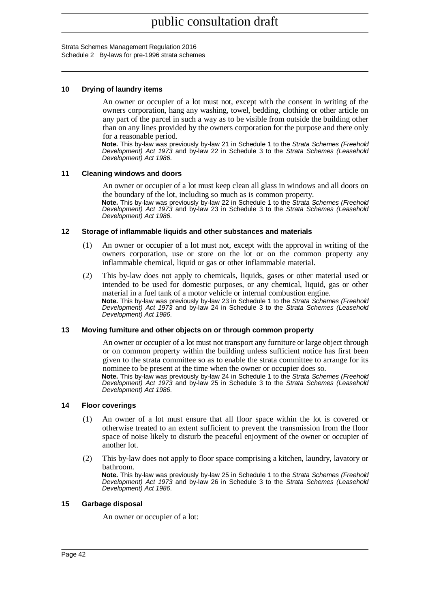Strata Schemes Management Regulation 2016 Schedule 2 By-laws for pre-1996 strata schemes

#### **10 Drying of laundry items**

An owner or occupier of a lot must not, except with the consent in writing of the owners corporation, hang any washing, towel, bedding, clothing or other article on any part of the parcel in such a way as to be visible from outside the building other than on any lines provided by the owners corporation for the purpose and there only for a reasonable period.

**Note.** This by-law was previously by-law 21 in Schedule 1 to the *Strata Schemes (Freehold Development) Act 1973* and by-law 22 in Schedule 3 to the *Strata Schemes (Leasehold Development) Act 1986*.

#### **11 Cleaning windows and doors**

An owner or occupier of a lot must keep clean all glass in windows and all doors on the boundary of the lot, including so much as is common property.

**Note.** This by-law was previously by-law 22 in Schedule 1 to the *Strata Schemes (Freehold Development) Act 1973* and by-law 23 in Schedule 3 to the *Strata Schemes (Leasehold Development) Act 1986*.

#### **12 Storage of inflammable liquids and other substances and materials**

- (1) An owner or occupier of a lot must not, except with the approval in writing of the owners corporation, use or store on the lot or on the common property any inflammable chemical, liquid or gas or other inflammable material.
- (2) This by-law does not apply to chemicals, liquids, gases or other material used or intended to be used for domestic purposes, or any chemical, liquid, gas or other material in a fuel tank of a motor vehicle or internal combustion engine. **Note.** This by-law was previously by-law 23 in Schedule 1 to the *Strata Schemes (Freehold Development) Act 1973* and by-law 24 in Schedule 3 to the *Strata Schemes (Leasehold Development) Act 1986*.

#### **13 Moving furniture and other objects on or through common property**

An owner or occupier of a lot must not transport any furniture or large object through or on common property within the building unless sufficient notice has first been given to the strata committee so as to enable the strata committee to arrange for its nominee to be present at the time when the owner or occupier does so.

**Note.** This by-law was previously by-law 24 in Schedule 1 to the *Strata Schemes (Freehold Development) Act 1973* and by-law 25 in Schedule 3 to the *Strata Schemes (Leasehold Development) Act 1986*.

#### **14 Floor coverings**

- (1) An owner of a lot must ensure that all floor space within the lot is covered or otherwise treated to an extent sufficient to prevent the transmission from the floor space of noise likely to disturb the peaceful enjoyment of the owner or occupier of another lot.
- (2) This by-law does not apply to floor space comprising a kitchen, laundry, lavatory or bathroom.

**Note.** This by-law was previously by-law 25 in Schedule 1 to the *Strata Schemes (Freehold Development) Act 1973* and by-law 26 in Schedule 3 to the *Strata Schemes (Leasehold Development) Act 1986*.

#### **15 Garbage disposal**

An owner or occupier of a lot: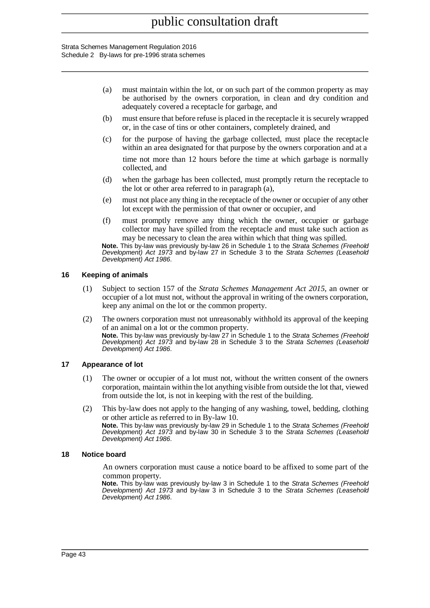#### Strata Schemes Management Regulation 2016 Schedule 2 By-laws for pre-1996 strata schemes

- (a) must maintain within the lot, or on such part of the common property as may be authorised by the owners corporation, in clean and dry condition and adequately covered a receptacle for garbage, and
- (b) must ensure that before refuse is placed in the receptacle it is securely wrapped or, in the case of tins or other containers, completely drained, and
- (c) for the purpose of having the garbage collected, must place the receptacle within an area designated for that purpose by the owners corporation and at a

time not more than 12 hours before the time at which garbage is normally collected, and

- (d) when the garbage has been collected, must promptly return the receptacle to the lot or other area referred to in paragraph (a),
- (e) must not place any thing in the receptacle of the owner or occupier of any other lot except with the permission of that owner or occupier, and
- (f) must promptly remove any thing which the owner, occupier or garbage collector may have spilled from the receptacle and must take such action as may be necessary to clean the area within which that thing was spilled.

**Note.** This by-law was previously by-law 26 in Schedule 1 to the *Strata Schemes (Freehold Development) Act 1973* and by-law 27 in Schedule 3 to the *Strata Schemes (Leasehold Development) Act 1986*.

#### **16 Keeping of animals**

- (1) Subject to section 157 of the *Strata Schemes Management Act 2015*, an owner or occupier of a lot must not, without the approval in writing of the owners corporation, keep any animal on the lot or the common property.
- (2) The owners corporation must not unreasonably withhold its approval of the keeping of an animal on a lot or the common property. **Note.** This by-law was previously by-law 27 in Schedule 1 to the *Strata Schemes (Freehold Development) Act 1973* and by-law 28 in Schedule 3 to the *Strata Schemes (Leasehold Development) Act 1986*.

#### **17 Appearance of lot**

- (1) The owner or occupier of a lot must not, without the written consent of the owners corporation, maintain within the lot anything visible from outside the lot that, viewed from outside the lot, is not in keeping with the rest of the building.
- (2) This by-law does not apply to the hanging of any washing, towel, bedding, clothing or other article as referred to in By-law 10. **Note.** This by-law was previously by-law 29 in Schedule 1 to the *Strata Schemes (Freehold Development) Act 1973* and by-law 30 in Schedule 3 to the *Strata Schemes (Leasehold Development) Act 1986*.

#### **18 Notice board**

An owners corporation must cause a notice board to be affixed to some part of the common property.

**Note.** This by-law was previously by-law 3 in Schedule 1 to the *Strata Schemes (Freehold Development) Act 1973* and by-law 3 in Schedule 3 to the *Strata Schemes (Leasehold Development) Act 1986*.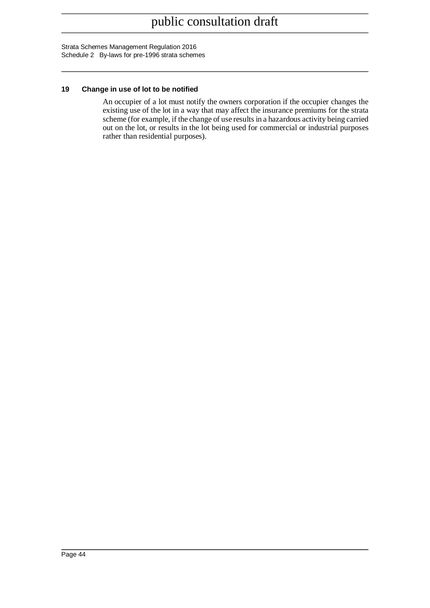Strata Schemes Management Regulation 2016 Schedule 2 By-laws for pre-1996 strata schemes

#### **19 Change in use of lot to be notified**

An occupier of a lot must notify the owners corporation if the occupier changes the existing use of the lot in a way that may affect the insurance premiums for the strata scheme (for example, if the change of use results in a hazardous activity being carried out on the lot, or results in the lot being used for commercial or industrial purposes rather than residential purposes).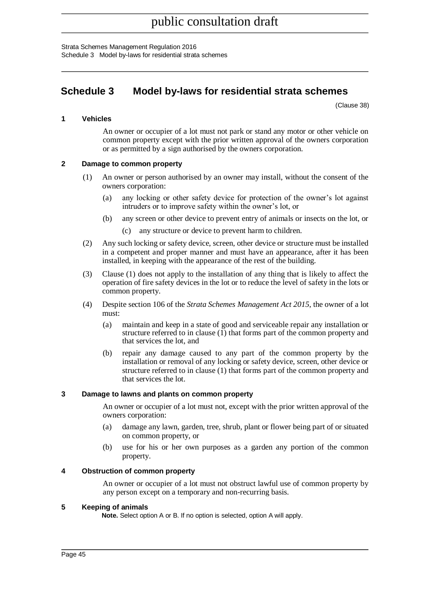Strata Schemes Management Regulation 2016 Schedule 3 Model by-laws for residential strata schemes

## <span id="page-44-0"></span>**Schedule 3 Model by-laws for residential strata schemes**

(Clause 38)

#### **1 Vehicles**

An owner or occupier of a lot must not park or stand any motor or other vehicle on common property except with the prior written approval of the owners corporation or as permitted by a sign authorised by the owners corporation.

#### **2 Damage to common property**

- (1) An owner or person authorised by an owner may install, without the consent of the owners corporation:
	- (a) any locking or other safety device for protection of the owner's lot against intruders or to improve safety within the owner's lot, or
	- (b) any screen or other device to prevent entry of animals or insects on the lot, or
		- (c) any structure or device to prevent harm to children.
- (2) Any such locking or safety device, screen, other device or structure must be installed in a competent and proper manner and must have an appearance, after it has been installed, in keeping with the appearance of the rest of the building.
- (3) Clause (1) does not apply to the installation of any thing that is likely to affect the operation of fire safety devices in the lot or to reduce the level of safety in the lots or common property.
- (4) Despite section 106 of the *Strata Schemes Management Act 2015*, the owner of a lot must:
	- (a) maintain and keep in a state of good and serviceable repair any installation or structure referred to in clause (1) that forms part of the common property and that services the lot, and
	- (b) repair any damage caused to any part of the common property by the installation or removal of any locking or safety device, screen, other device or structure referred to in clause (1) that forms part of the common property and that services the lot.

#### **3 Damage to lawns and plants on common property**

An owner or occupier of a lot must not, except with the prior written approval of the owners corporation:

- (a) damage any lawn, garden, tree, shrub, plant or flower being part of or situated on common property, or
- (b) use for his or her own purposes as a garden any portion of the common property.

#### **4 Obstruction of common property**

An owner or occupier of a lot must not obstruct lawful use of common property by any person except on a temporary and non-recurring basis.

#### **5 Keeping of animals**

**Note.** Select option A or B. If no option is selected, option A will apply.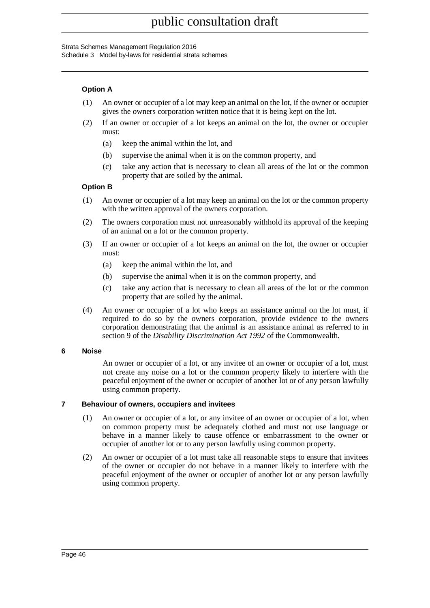#### Strata Schemes Management Regulation 2016

Schedule 3 Model by-laws for residential strata schemes

#### **Option A**

- (1) An owner or occupier of a lot may keep an animal on the lot, if the owner or occupier gives the owners corporation written notice that it is being kept on the lot.
- (2) If an owner or occupier of a lot keeps an animal on the lot, the owner or occupier must:
	- (a) keep the animal within the lot, and
	- (b) supervise the animal when it is on the common property, and
	- (c) take any action that is necessary to clean all areas of the lot or the common property that are soiled by the animal.

#### **Option B**

- (1) An owner or occupier of a lot may keep an animal on the lot or the common property with the written approval of the owners corporation.
- (2) The owners corporation must not unreasonably withhold its approval of the keeping of an animal on a lot or the common property.
- (3) If an owner or occupier of a lot keeps an animal on the lot, the owner or occupier must:
	- (a) keep the animal within the lot, and
	- (b) supervise the animal when it is on the common property, and
	- (c) take any action that is necessary to clean all areas of the lot or the common property that are soiled by the animal.
- (4) An owner or occupier of a lot who keeps an assistance animal on the lot must, if required to do so by the owners corporation, provide evidence to the owners corporation demonstrating that the animal is an assistance animal as referred to in section 9 of the *Disability Discrimination Act 1992* of the Commonwealth.

#### **6 Noise**

An owner or occupier of a lot, or any invitee of an owner or occupier of a lot, must not create any noise on a lot or the common property likely to interfere with the peaceful enjoyment of the owner or occupier of another lot or of any person lawfully using common property.

#### **7 Behaviour of owners, occupiers and invitees**

- (1) An owner or occupier of a lot, or any invitee of an owner or occupier of a lot, when on common property must be adequately clothed and must not use language or behave in a manner likely to cause offence or embarrassment to the owner or occupier of another lot or to any person lawfully using common property.
- (2) An owner or occupier of a lot must take all reasonable steps to ensure that invitees of the owner or occupier do not behave in a manner likely to interfere with the peaceful enjoyment of the owner or occupier of another lot or any person lawfully using common property.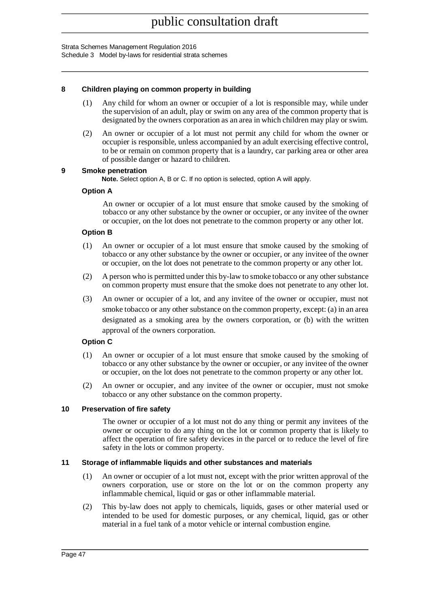Strata Schemes Management Regulation 2016

Schedule 3 Model by-laws for residential strata schemes

#### **8 Children playing on common property in building**

- (1) Any child for whom an owner or occupier of a lot is responsible may, while under the supervision of an adult, play or swim on any area of the common property that is designated by the owners corporation as an area in which children may play or swim.
- (2) An owner or occupier of a lot must not permit any child for whom the owner or occupier is responsible, unless accompanied by an adult exercising effective control, to be or remain on common property that is a laundry, car parking area or other area of possible danger or hazard to children.

#### **9 Smoke penetration**

**Note.** Select option A, B or C. If no option is selected, option A will apply.

### **Option A**

An owner or occupier of a lot must ensure that smoke caused by the smoking of tobacco or any other substance by the owner or occupier, or any invitee of the owner or occupier, on the lot does not penetrate to the common property or any other lot.

### **Option B**

- (1) An owner or occupier of a lot must ensure that smoke caused by the smoking of tobacco or any other substance by the owner or occupier, or any invitee of the owner or occupier, on the lot does not penetrate to the common property or any other lot.
- (2) A person who is permitted under this by-law to smoke tobacco or any other substance on common property must ensure that the smoke does not penetrate to any other lot.
- (3) An owner or occupier of a lot, and any invitee of the owner or occupier, must not smoke tobacco or any other substance on the common property, except: (a) in an area designated as a smoking area by the owners corporation, or (b) with the written approval of the owners corporation.

### **Option C**

- (1) An owner or occupier of a lot must ensure that smoke caused by the smoking of tobacco or any other substance by the owner or occupier, or any invitee of the owner or occupier, on the lot does not penetrate to the common property or any other lot.
- (2) An owner or occupier, and any invitee of the owner or occupier, must not smoke tobacco or any other substance on the common property.

### **10 Preservation of fire safety**

The owner or occupier of a lot must not do any thing or permit any invitees of the owner or occupier to do any thing on the lot or common property that is likely to affect the operation of fire safety devices in the parcel or to reduce the level of fire safety in the lots or common property.

#### **11 Storage of inflammable liquids and other substances and materials**

- (1) An owner or occupier of a lot must not, except with the prior written approval of the owners corporation, use or store on the lot or on the common property any inflammable chemical, liquid or gas or other inflammable material.
- (2) This by-law does not apply to chemicals, liquids, gases or other material used or intended to be used for domestic purposes, or any chemical, liquid, gas or other material in a fuel tank of a motor vehicle or internal combustion engine.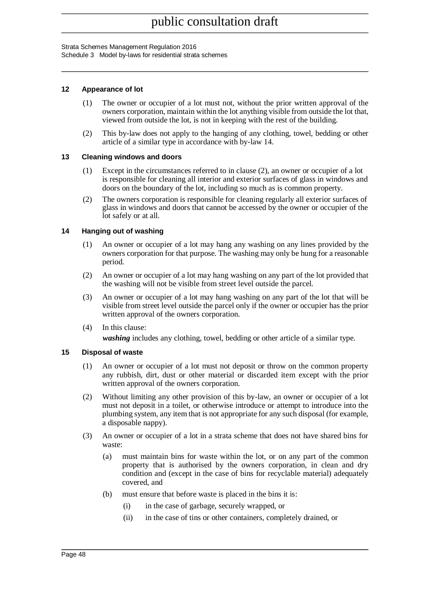#### Strata Schemes Management Regulation 2016

Schedule 3 Model by-laws for residential strata schemes

#### **12 Appearance of lot**

- (1) The owner or occupier of a lot must not, without the prior written approval of the owners corporation, maintain within the lot anything visible from outside the lot that, viewed from outside the lot, is not in keeping with the rest of the building.
- (2) This by-law does not apply to the hanging of any clothing, towel, bedding or other article of a similar type in accordance with by-law 14.

#### **13 Cleaning windows and doors**

- (1) Except in the circumstances referred to in clause (2), an owner or occupier of a lot is responsible for cleaning all interior and exterior surfaces of glass in windows and doors on the boundary of the lot, including so much as is common property.
- (2) The owners corporation is responsible for cleaning regularly all exterior surfaces of glass in windows and doors that cannot be accessed by the owner or occupier of the lot safely or at all.

#### **14 Hanging out of washing**

- (1) An owner or occupier of a lot may hang any washing on any lines provided by the owners corporation for that purpose. The washing may only be hung for a reasonable period.
- (2) An owner or occupier of a lot may hang washing on any part of the lot provided that the washing will not be visible from street level outside the parcel.
- (3) An owner or occupier of a lot may hang washing on any part of the lot that will be visible from street level outside the parcel only if the owner or occupier has the prior written approval of the owners corporation.
- (4) In this clause:

*washing* includes any clothing, towel, bedding or other article of a similar type.

#### **15 Disposal of waste**

- (1) An owner or occupier of a lot must not deposit or throw on the common property any rubbish, dirt, dust or other material or discarded item except with the prior written approval of the owners corporation.
- (2) Without limiting any other provision of this by-law, an owner or occupier of a lot must not deposit in a toilet, or otherwise introduce or attempt to introduce into the plumbing system, any item that is not appropriate for any such disposal (for example, a disposable nappy).
- (3) An owner or occupier of a lot in a strata scheme that does not have shared bins for waste:
	- (a) must maintain bins for waste within the lot, or on any part of the common property that is authorised by the owners corporation, in clean and dry condition and (except in the case of bins for recyclable material) adequately covered, and
	- (b) must ensure that before waste is placed in the bins it is:
		- (i) in the case of garbage, securely wrapped, or
		- (ii) in the case of tins or other containers, completely drained, or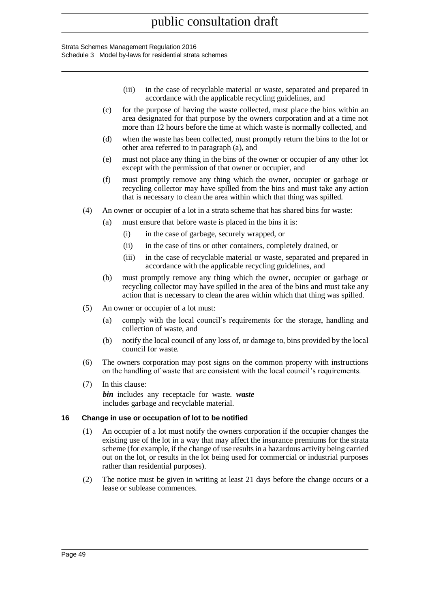#### Strata Schemes Management Regulation 2016 Schedule 3 Model by-laws for residential strata schemes

- (iii) in the case of recyclable material or waste, separated and prepared in accordance with the applicable recycling guidelines, and
- (c) for the purpose of having the waste collected, must place the bins within an area designated for that purpose by the owners corporation and at a time not more than 12 hours before the time at which waste is normally collected, and
- (d) when the waste has been collected, must promptly return the bins to the lot or other area referred to in paragraph (a), and
- (e) must not place any thing in the bins of the owner or occupier of any other lot except with the permission of that owner or occupier, and
- (f) must promptly remove any thing which the owner, occupier or garbage or recycling collector may have spilled from the bins and must take any action that is necessary to clean the area within which that thing was spilled.
- (4) An owner or occupier of a lot in a strata scheme that has shared bins for waste:
	- (a) must ensure that before waste is placed in the bins it is:
		- (i) in the case of garbage, securely wrapped, or
		- (ii) in the case of tins or other containers, completely drained, or
		- (iii) in the case of recyclable material or waste, separated and prepared in accordance with the applicable recycling guidelines, and
	- (b) must promptly remove any thing which the owner, occupier or garbage or recycling collector may have spilled in the area of the bins and must take any action that is necessary to clean the area within which that thing was spilled.
- (5) An owner or occupier of a lot must:
	- (a) comply with the local council's requirements for the storage, handling and collection of waste, and
	- (b) notify the local council of any loss of, or damage to, bins provided by the local council for waste.
- (6) The owners corporation may post signs on the common property with instructions on the handling of waste that are consistent with the local council's requirements.
- (7) In this clause: *bin* includes any receptacle for waste. *waste* includes garbage and recyclable material.

#### **16 Change in use or occupation of lot to be notified**

- (1) An occupier of a lot must notify the owners corporation if the occupier changes the existing use of the lot in a way that may affect the insurance premiums for the strata scheme (for example, if the change of use results in a hazardous activity being carried out on the lot, or results in the lot being used for commercial or industrial purposes rather than residential purposes).
- (2) The notice must be given in writing at least 21 days before the change occurs or a lease or sublease commences.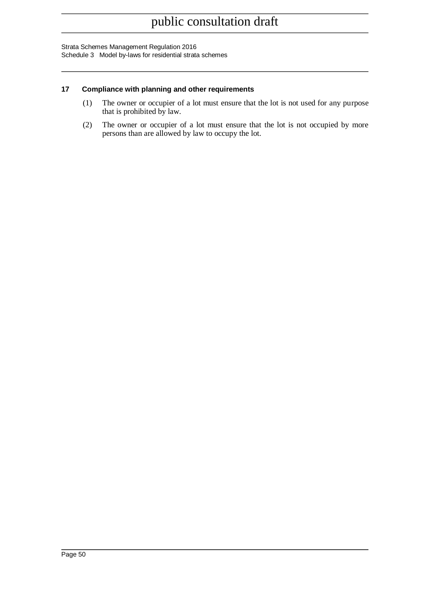Strata Schemes Management Regulation 2016 Schedule 3 Model by-laws for residential strata schemes

#### **17 Compliance with planning and other requirements**

- (1) The owner or occupier of a lot must ensure that the lot is not used for any purpose that is prohibited by law.
- (2) The owner or occupier of a lot must ensure that the lot is not occupied by more persons than are allowed by law to occupy the lot.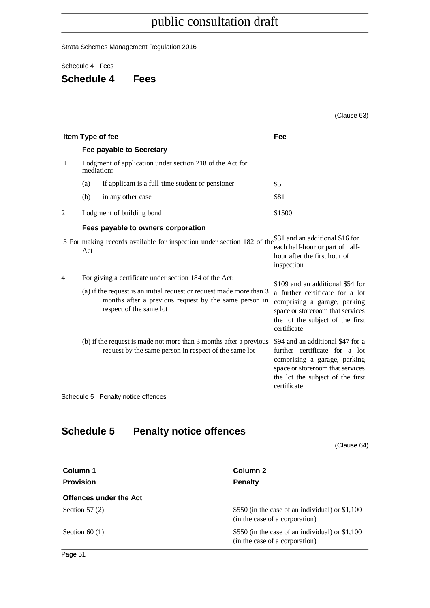Strata Schemes Management Regulation 2016

<span id="page-50-0"></span>Schedule 4 Fees

## **Schedule 4 Fees**

|                |            |                                                                                                                                                                                                                    | (Clause 63)                                                                                                                                                                                |
|----------------|------------|--------------------------------------------------------------------------------------------------------------------------------------------------------------------------------------------------------------------|--------------------------------------------------------------------------------------------------------------------------------------------------------------------------------------------|
|                |            | Item Type of fee                                                                                                                                                                                                   | Fee                                                                                                                                                                                        |
|                |            | Fee payable to Secretary                                                                                                                                                                                           |                                                                                                                                                                                            |
| 1              | mediation: | Lodgment of application under section 218 of the Act for                                                                                                                                                           |                                                                                                                                                                                            |
|                | (a)        | if applicant is a full-time student or pensioner                                                                                                                                                                   | \$5                                                                                                                                                                                        |
|                | (b)        | in any other case                                                                                                                                                                                                  | \$81                                                                                                                                                                                       |
| 2              |            | Lodgment of building bond                                                                                                                                                                                          | \$1500                                                                                                                                                                                     |
|                |            | Fees payable to owners corporation                                                                                                                                                                                 |                                                                                                                                                                                            |
|                | Act        | 3 For making records available for inspection under section 182 of the \$31 and an additional \$16 for                                                                                                             | each half-hour or part of half-<br>hour after the first hour of<br>inspection                                                                                                              |
| $\overline{4}$ |            | For giving a certificate under section 184 of the Act:<br>(a) if the request is an initial request or request made more than 3<br>months after a previous request by the same person in<br>respect of the same lot | \$109 and an additional \$54 for<br>a further certificate for a lot<br>comprising a garage, parking<br>space or storeroom that services<br>the lot the subject of the first<br>certificate |
|                |            | (b) if the request is made not more than 3 months after a previous<br>request by the same person in respect of the same lot                                                                                        | \$94 and an additional \$47 for a<br>further certificate for a lot<br>comprising a garage, parking<br>space or storeroom that services<br>the lot the subject of the first<br>certificate  |
|                |            | Schedule 5 Penalty notice offences                                                                                                                                                                                 |                                                                                                                                                                                            |

# <span id="page-50-1"></span>**Schedule 5 Penalty notice offences**

(Clause 64)

| Column 1               | Column 2                                                                          |  |  |
|------------------------|-----------------------------------------------------------------------------------|--|--|
| <b>Provision</b>       | <b>Penalty</b>                                                                    |  |  |
| Offences under the Act |                                                                                   |  |  |
| Section $57(2)$        | \$550 (in the case of an individual) or \$1,100<br>(in the case of a corporation) |  |  |
| Section $60(1)$        | \$550 (in the case of an individual) or \$1,100<br>(in the case of a corporation) |  |  |